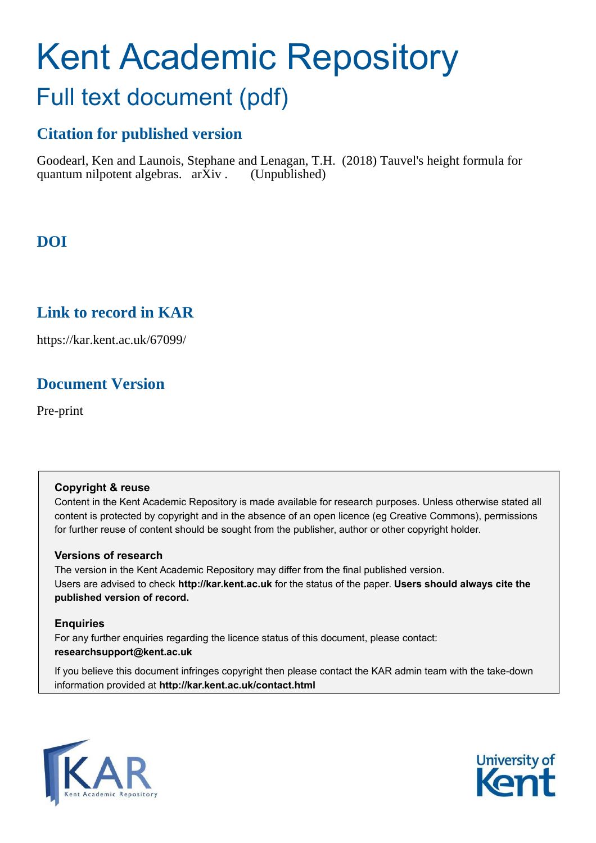# Kent Academic Repository Full text document (pdf)

# **Citation for published version**

Goodearl, Ken and Launois, Stephane and Lenagan, T.H. (2018) Tauvel's height formula for quantum nilpotent algebras.  $arXiv$ . (Unpublished)

# **DOI**

# **Link to record in KAR**

https://kar.kent.ac.uk/67099/

# **Document Version**

Pre-print

#### **Copyright & reuse**

Content in the Kent Academic Repository is made available for research purposes. Unless otherwise stated all content is protected by copyright and in the absence of an open licence (eg Creative Commons), permissions for further reuse of content should be sought from the publisher, author or other copyright holder.

#### **Versions of research**

The version in the Kent Academic Repository may differ from the final published version. Users are advised to check **http://kar.kent.ac.uk** for the status of the paper. **Users should always cite the published version of record.**

#### **Enquiries**

For any further enquiries regarding the licence status of this document, please contact: **researchsupport@kent.ac.uk**

If you believe this document infringes copyright then please contact the KAR admin team with the take-down information provided at **http://kar.kent.ac.uk/contact.html**



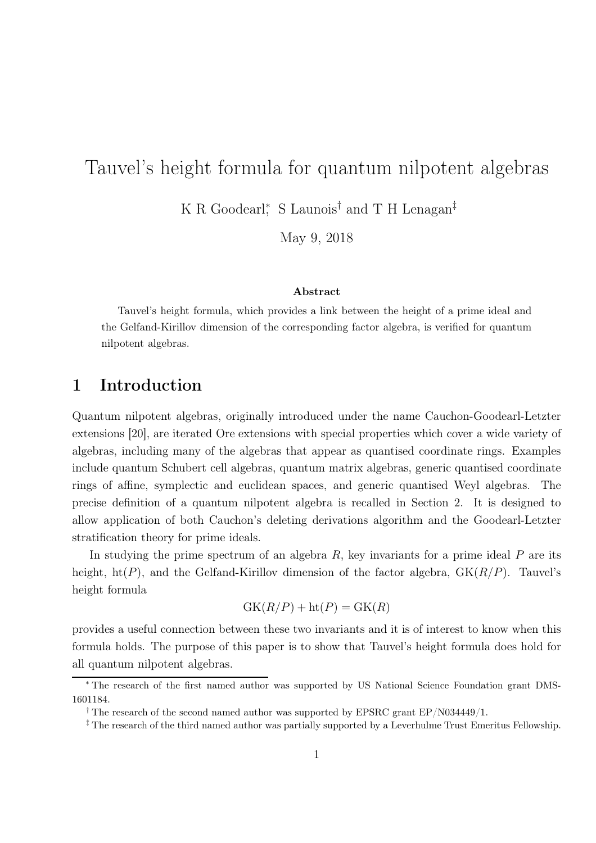# Tauvel's height formula for quantum nilpotent algebras

K R Goodearl<sup>\*</sup>, S Launois<sup>†</sup> and T H Lenagan<sup>‡</sup>

May 9, 2018

#### Abstract

Tauvel's height formula, which provides a link between the height of a prime ideal and the Gelfand-Kirillov dimension of the corresponding factor algebra, is verified for quantum nilpotent algebras.

## 1 Introduction

Quantum nilpotent algebras, originally introduced under the name Cauchon-Goodearl-Letzter extensions [20], are iterated Ore extensions with special properties which cover a wide variety of algebras, including many of the algebras that appear as quantised coordinate rings. Examples include quantum Schubert cell algebras, quantum matrix algebras, generic quantised coordinate rings of affine, symplectic and euclidean spaces, and generic quantised Weyl algebras. The precise definition of a quantum nilpotent algebra is recalled in Section 2. It is designed to allow application of both Cauchon's deleting derivations algorithm and the Goodearl-Letzter stratification theory for prime ideals.

In studying the prime spectrum of an algebra  $R$ , key invariants for a prime ideal  $P$  are its height,  $ht(P)$ , and the Gelfand-Kirillov dimension of the factor algebra,  $GK(R/P)$ . Tauvel's height formula

$$
GK(R/P) + ht(P) = GK(R)
$$

provides a useful connection between these two invariants and it is of interest to know when this formula holds. The purpose of this paper is to show that Tauvel's height formula does hold for all quantum nilpotent algebras.

<sup>∗</sup> The research of the first named author was supported by US National Science Foundation grant DMS-1601184.

<sup>&</sup>lt;sup>†</sup> The research of the second named author was supported by EPSRC grant EP/N034449/1.

<sup>‡</sup> The research of the third named author was partially supported by a Leverhulme Trust Emeritus Fellowship.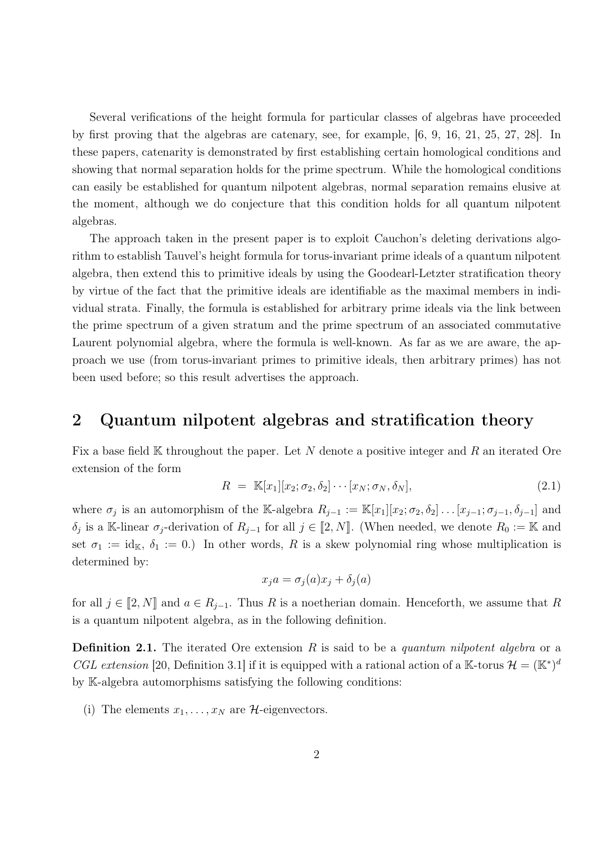Several verifications of the height formula for particular classes of algebras have proceeded by first proving that the algebras are catenary, see, for example, [6, 9, 16, 21, 25, 27, 28]. In these papers, catenarity is demonstrated by first establishing certain homological conditions and showing that normal separation holds for the prime spectrum. While the homological conditions can easily be established for quantum nilpotent algebras, normal separation remains elusive at the moment, although we do conjecture that this condition holds for all quantum nilpotent algebras.

The approach taken in the present paper is to exploit Cauchon's deleting derivations algorithm to establish Tauvel's height formula for torus-invariant prime ideals of a quantum nilpotent algebra, then extend this to primitive ideals by using the Goodearl-Letzter stratification theory by virtue of the fact that the primitive ideals are identifiable as the maximal members in individual strata. Finally, the formula is established for arbitrary prime ideals via the link between the prime spectrum of a given stratum and the prime spectrum of an associated commutative Laurent polynomial algebra, where the formula is well-known. As far as we are aware, the approach we use (from torus-invariant primes to primitive ideals, then arbitrary primes) has not been used before; so this result advertises the approach.

## 2 Quantum nilpotent algebras and stratification theory

Fix a base field K throughout the paper. Let N denote a positive integer and R an iterated Ore extension of the form

$$
R = \mathbb{K}[x_1][x_2; \sigma_2, \delta_2] \cdots [x_N; \sigma_N, \delta_N], \qquad (2.1)
$$

where  $\sigma_j$  is an automorphism of the K-algebra  $R_{j-1} := \mathbb{K}[x_1][x_2; \sigma_2, \delta_2] \dots [x_{j-1}; \sigma_{j-1}, \delta_{j-1}]$  and  $\delta_j$  is a K-linear  $\sigma_j$ -derivation of  $R_{j-1}$  for all  $j \in [2, N]$ . (When needed, we denote  $R_0 := \mathbb{K}$  and set  $\sigma_1 := id_{\mathbb{K}}, \delta_1 := 0$ .) In other words, R is a skew polynomial ring whose multiplication is determined by:

$$
x_j a = \sigma_j(a)x_j + \delta_j(a)
$$

for all  $j \in [2, N]$  and  $a \in R_{j-1}$ . Thus R is a noetherian domain. Henceforth, we assume that R is a quantum nilpotent algebra, as in the following definition.

**Definition 2.1.** The iterated Ore extension R is said to be a *quantum nilpotent algebra* or a CGL extension [20, Definition 3.1] if it is equipped with a rational action of a K-torus  $\mathcal{H} = (\mathbb{K}^*)^d$ by K-algebra automorphisms satisfying the following conditions:

(i) The elements  $x_1, \ldots, x_N$  are H-eigenvectors.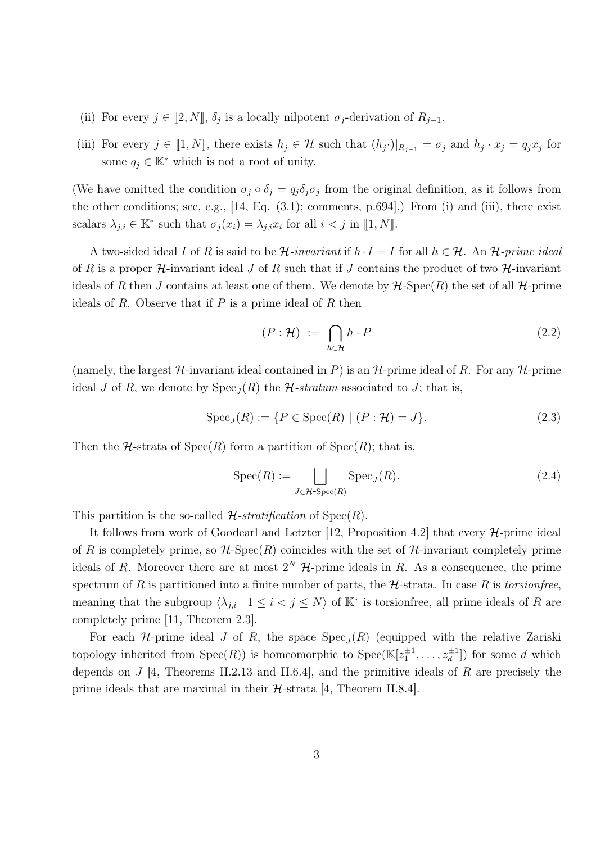- (ii) For every  $j \in [2, N]$ ,  $\delta_j$  is a locally nilpotent  $\sigma_j$ -derivation of  $R_{j-1}$ .
- (iii) For every  $j \in [1, N]$ , there exists  $h_j \in \mathcal{H}$  such that  $(h_j \cdot)|_{R_{j-1}} = \sigma_j$  and  $h_j \cdot x_j = q_j x_j$  for some  $q_i \in \mathbb{K}^*$  which is not a root of unity.

(We have omitted the condition  $\sigma_j \circ \delta_j = q_j \delta_j \sigma_j$  from the original definition, as it follows from the other conditions; see, e.g., [14, Eq. (3.1); comments, p.694].) From (i) and (iii), there exist scalars  $\lambda_{j,i} \in \mathbb{K}^*$  such that  $\sigma_j(x_i) = \lambda_{j,i} x_i$  for all  $i < j$  in [1, N].

A two-sided ideal I of R is said to be  $\mathcal{H}$ -invariant if  $h \cdot I = I$  for all  $h \in \mathcal{H}$ . An  $\mathcal{H}$ -prime ideal of R is a proper  $H$ -invariant ideal J of R such that if J contains the product of two  $H$ -invariant ideals of R then J contains at least one of them. We denote by  $H\text{-}Spec(R)$  the set of all  $H\text{-}prime$ ideals of  $R$ . Observe that if  $P$  is a prime ideal of  $R$  then

$$
(P: \mathcal{H}) := \bigcap_{h \in \mathcal{H}} h \cdot P \tag{2.2}
$$

(namely, the largest  $\mathcal{H}$ -invariant ideal contained in P) is an  $\mathcal{H}$ -prime ideal of R. For any  $\mathcal{H}$ -prime ideal J of R, we denote by  $Spec_J(R)$  the  $H\text{-}stratum$  associated to J; that is,

$$
Spec_J(R) := \{ P \in Spec(R) \mid (P : \mathcal{H}) = J \}. \tag{2.3}
$$

Then the  $H$ -strata of  $Spec(R)$  form a partition of  $Spec(R)$ ; that is,

$$
Spec(R) := \bigsqcup_{J \in \mathcal{H}\text{-}Spec(R)} Spec_J(R). \tag{2.4}
$$

This partition is the so-called  $\mathcal{H}$ -stratification of  $Spec(R)$ .

It follows from work of Goodearl and Letzter [12, Proposition 4.2] that every  $H$ -prime ideal of R is completely prime, so  $\mathcal{H}\text{-Spec}(R)$  coincides with the set of  $\mathcal{H}\text{-invariant completely prime}$ ideals of R. Moreover there are at most  $2^N$  H-prime ideals in R. As a consequence, the prime spectrum of R is partitioned into a finite number of parts, the  $H$ -strata. In case R is torsionfree, meaning that the subgroup  $\langle \lambda_{j,i} | 1 \leq i < j \leq N \rangle$  of  $\mathbb{K}^*$  is torsionfree, all prime ideals of R are completely prime [11, Theorem 2.3].

For each  $H$ -prime ideal J of R, the space  $Spec_J(R)$  (equipped with the relative Zariski topology inherited from  $Spec(R)$  is homeomorphic to  $Spec(\mathbb{K}[z_1^{\pm 1},...,z_d^{\pm 1}])$  for some d which depends on  $J$  [4, Theorems II.2.13 and II.6.4], and the primitive ideals of R are precisely the prime ideals that are maximal in their  $H$ -strata [4, Theorem II.8.4].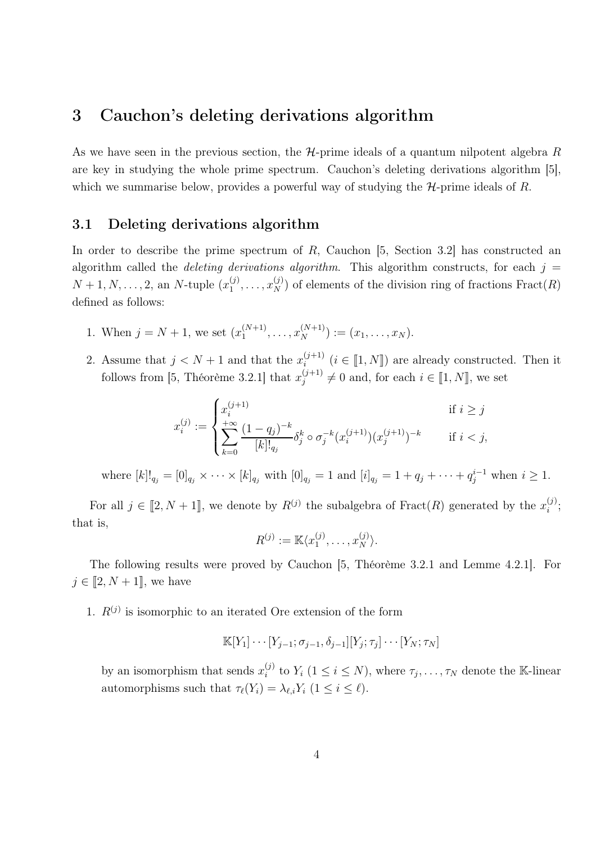## 3 Cauchon's deleting derivations algorithm

As we have seen in the previous section, the  $H$ -prime ideals of a quantum nilpotent algebra R are key in studying the whole prime spectrum. Cauchon's deleting derivations algorithm [5], which we summarise below, provides a powerful way of studying the  $H$ -prime ideals of R.

#### 3.1 Deleting derivations algorithm

In order to describe the prime spectrum of  $R$ , Cauchon [5, Section 3.2] has constructed an algorithm called the *deleting derivations algorithm*. This algorithm constructs, for each  $j =$  $N+1, N, \ldots, 2$ , an N-tuple  $(x_1^{(j)})$  $\mathbf{I}_{1}^{(j)},\ldots,\mathbf{I}_{N}^{(j)}$  of elements of the division ring of fractions  $\mathrm{Fract}(R)$ defined as follows:

- 1. When  $j = N + 1$ , we set  $(x_1^{(N+1)}$  $\binom{(N+1)}{1}, \ldots, \binom{N+1}{N} := (x_1, \ldots, x_N).$
- 2. Assume that  $j < N + 1$  and that the  $x_i^{(j+1)}$  $i^{(j+1)}$   $(i \in [1, N])$  are already constructed. Then it follows from [5, Théorème 3.2.1] that  $x_i^{(j+1)}$  $j_j^{(j+1)} \neq 0$  and, for each  $i \in [1, N]$ , we set

$$
x_i^{(j)} := \begin{cases} x_i^{(j+1)} & \text{if } i \ge j \\ +\infty \\ \sum_{k=0}^{+\infty} \frac{(1-q_j)^{-k}}{[k]!_{q_j}} \delta_j^k \circ \sigma_j^{-k} (x_i^{(j+1)}) (x_j^{(j+1)})^{-k} & \text{if } i < j, \end{cases}
$$

where  $[k]!_{q_j} = [0]_{q_j} \times \cdots \times [k]_{q_j}$  with  $[0]_{q_j} = 1$  and  $[i]_{q_j} = 1 + q_j + \cdots + q_j^{i-1}$  when  $i \ge 1$ .

For all  $j \in [2, N + 1]$ , we denote by  $R^{(j)}$  the subalgebra of Fract $(R)$  generated by the  $x_i^{(j)}$  $\binom{j}{i}$ that is,

$$
R^{(j)} := \mathbb{K}\langle x_1^{(j)}, \ldots, x_N^{(j)}\rangle.
$$

The following results were proved by Cauchon [5, Théorème 3.2.1 and Lemme 4.2.1]. For  $j \in [2, N + 1]$ , we have

1.  $R^{(j)}$  is isomorphic to an iterated Ore extension of the form

$$
\mathbb{K}[Y_1]\cdots[Y_{j-1};\sigma_{j-1},\delta_{j-1}][Y_j;\tau_j]\cdots[Y_N;\tau_N]
$$

by an isomorphism that sends  $x_i^{(j)}$  $i_j^{(j)}$  to  $Y_i$   $(1 \leq i \leq N)$ , where  $\tau_j, \ldots, \tau_N$  denote the K-linear automorphisms such that  $\tau_{\ell}(Y_i) = \lambda_{\ell,i} Y_i \ (1 \leq i \leq \ell).$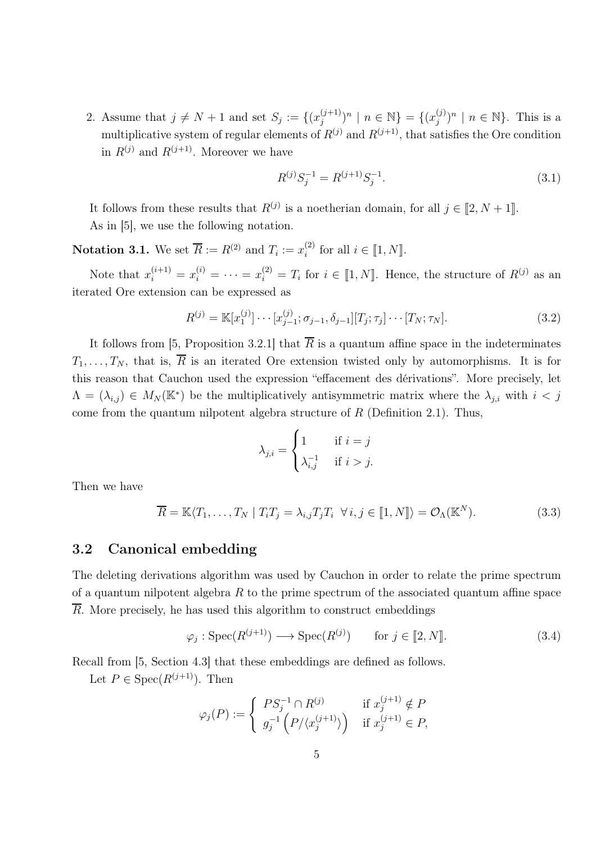2. Assume that  $j \neq N + 1$  and set  $S_j := \{(x_j^{(j+1)})$  $j^{(j+1)}$ )<sup>n</sup> | n  $\in \mathbb{N}$ } = { $(x_j^{(j)}$  $j^{(j)}$  $n \mid n \in \mathbb{N}$ . This is a multiplicative system of regular elements of  $R^{(j)}$  and  $R^{(j+1)}$ , that satisfies the Ore condition in  $R^{(j)}$  and  $R^{(j+1)}$ . Moreover we have

$$
R^{(j)}S_j^{-1} = R^{(j+1)}S_j^{-1}.
$$
\n(3.1)

It follows from these results that  $R^{(j)}$  is a noetherian domain, for all  $j \in [2, N + 1]$ . As in [5], we use the following notation.

**Notation 3.1.** We set  $\overline{R} := R^{(2)}$  and  $T_i := x_i^{(2)}$  $i^{(2)}$  for all  $i \in [1, N]$ .

Note that  $x_i^{(i+1)} = x_i^{(i)} = \cdots = x_i^{(2)} = T_i$  for  $i \in [1, N]$ . Hence, the structure of  $R^{(j)}$  as an iterated Ore extension can be expressed as

$$
R^{(j)} = \mathbb{K}[x_1^{(j)}] \cdots [x_{j-1}^{(j)}; \sigma_{j-1}, \delta_{j-1}][T_j; \tau_j] \cdots [T_N; \tau_N].
$$
\n(3.2)

It follows from [5, Proposition 3.2.1] that  $\overline{R}$  is a quantum affine space in the indeterminates  $T_1, \ldots, T_N$ , that is,  $\overline{R}$  is an iterated Ore extension twisted only by automorphisms. It is for this reason that Cauchon used the expression "effacement des dérivations". More precisely, let  $\Lambda = (\lambda_{i,j}) \in M_N(\mathbb{K}^*)$  be the multiplicatively antisymmetric matrix where the  $\lambda_{j,i}$  with  $i < j$ come from the quantum nilpotent algebra structure of  $R$  (Definition 2.1). Thus,

$$
\lambda_{j,i} = \begin{cases} 1 & \text{if } i = j \\ \lambda_{i,j}^{-1} & \text{if } i > j. \end{cases}
$$

Then we have

$$
\overline{R} = \mathbb{K}\langle T_1, \dots, T_N \mid T_i T_j = \lambda_{i,j} T_j T_i \ \forall \, i, j \in [\![ 1, N ]\!] \rangle = \mathcal{O}_{\Lambda}(\mathbb{K}^N). \tag{3.3}
$$

#### 3.2 Canonical embedding

The deleting derivations algorithm was used by Cauchon in order to relate the prime spectrum of a quantum nilpotent algebra  $R$  to the prime spectrum of the associated quantum affine space  $\overline{R}$ . More precisely, he has used this algorithm to construct embeddings

$$
\varphi_j: \operatorname{Spec}(R^{(j+1)}) \longrightarrow \operatorname{Spec}(R^{(j)}) \qquad \text{for } j \in [2, N]. \tag{3.4}
$$

Recall from [5, Section 4.3] that these embeddings are defined as follows.

Let  $P \in \text{Spec}(R^{(j+1)})$ . Then

$$
\varphi_j(P) := \begin{cases} PS_j^{-1} \cap R^{(j)} & \text{if } x_j^{(j+1)} \notin P \\ g_j^{-1} \left( P / \langle x_j^{(j+1)} \rangle \right) & \text{if } x_j^{(j+1)} \in P, \end{cases}
$$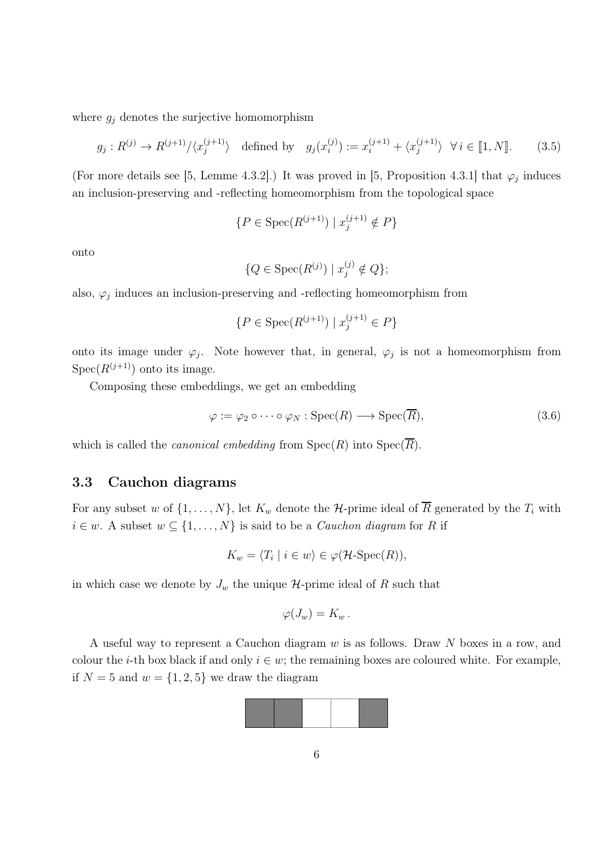where  $g_j$  denotes the surjective homomorphism

$$
g_j: R^{(j)} \to R^{(j+1)}/\langle x_j^{(j+1)}\rangle \quad \text{defined by} \quad g_j(x_i^{(j)}) := x_i^{(j+1)} + \langle x_j^{(j+1)}\rangle \ \ \forall \, i \in [1, N]. \tag{3.5}
$$

(For more details see [5, Lemme 4.3.2].) It was proved in [5, Proposition 4.3.1] that  $\varphi_j$  induces an inclusion-preserving and -reflecting homeomorphism from the topological space

$$
\{P \in \text{Spec}(R^{(j+1)}) \mid x_j^{(j+1)} \notin P\}
$$

onto

$$
\{Q \in \text{Spec}(R^{(j)}) \mid x_j^{(j)} \notin Q\};
$$

also,  $\varphi_j$  induces an inclusion-preserving and -reflecting homeomorphism from

$$
\{P \in \text{Spec}(R^{(j+1)}) \mid x_j^{(j+1)} \in P\}
$$

onto its image under  $\varphi_j$ . Note however that, in general,  $\varphi_j$  is not a homeomorphism from  $Spec(R^{(j+1)})$  onto its image.

Composing these embeddings, we get an embedding

$$
\varphi := \varphi_2 \circ \cdots \circ \varphi_N : \operatorname{Spec}(R) \longrightarrow \operatorname{Spec}(\overline{R}), \tag{3.6}
$$

which is called the *canonical embedding* from  $Spec(R)$  into  $Spec(\overline{R})$ .

#### 3.3 Cauchon diagrams

For any subset w of  $\{1, \ldots, N\}$ , let  $K_w$  denote the H-prime ideal of  $\overline{R}$  generated by the  $T_i$  with  $i \in w$ . A subset  $w \subseteq \{1, \ldots, N\}$  is said to be a *Cauchon diagram* for R if

$$
K_w = \langle T_i \mid i \in w \rangle \in \varphi(\mathcal{H}\text{-}\mathrm{Spec}(R)),
$$

in which case we denote by  $J_w$  the unique  $\mathcal{H}\text{-prime}$  ideal of R such that

$$
\varphi(J_w)=K_w.
$$

A useful way to represent a Cauchon diagram w is as follows. Draw N boxes in a row, and colour the *i*-th box black if and only  $i \in w$ ; the remaining boxes are coloured white. For example, if  $N = 5$  and  $w = \{1, 2, 5\}$  we draw the diagram

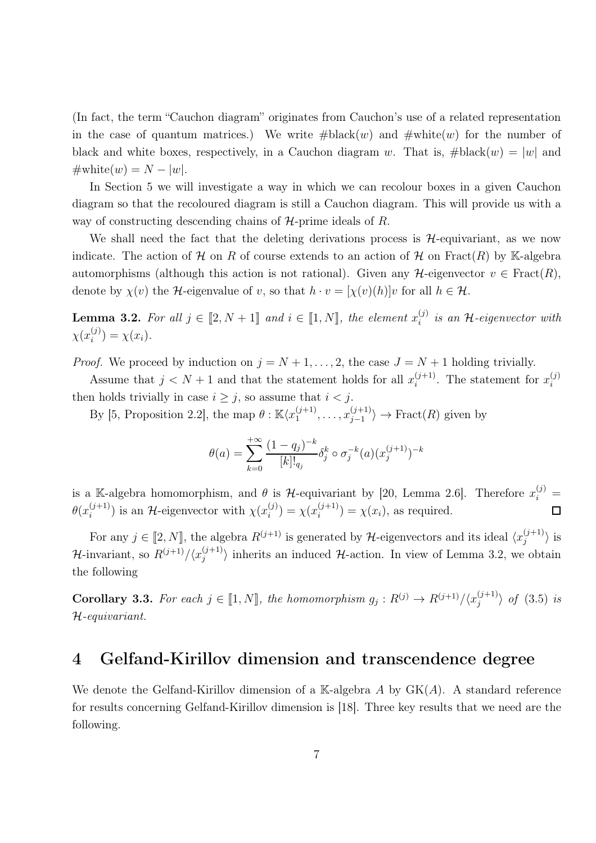(In fact, the term "Cauchon diagram" originates from Cauchon's use of a related representation in the case of quantum matrices.) We write  $\#black(w)$  and  $\#white(w)$  for the number of black and white boxes, respectively, in a Cauchon diagram w. That is,  $\#black(w) = |w|$  and  $\#\text{white}(w) = N - |w|.$ 

In Section 5 we will investigate a way in which we can recolour boxes in a given Cauchon diagram so that the recoloured diagram is still a Cauchon diagram. This will provide us with a way of constructing descending chains of  $H$ -prime ideals of R.

We shall need the fact that the deleting derivations process is  $H$ -equivariant, as we now indicate. The action of H on R of course extends to an action of H on Fract(R) by K-algebra automorphisms (although this action is not rational). Given any  $\mathcal{H}$ -eigenvector  $v \in Fract(R)$ , denote by  $\chi(v)$  the H-eigenvalue of v, so that  $h \cdot v = [\chi(v)(h)]v$  for all  $h \in \mathcal{H}$ .

**Lemma 3.2.** For all  $j \in [2, N + 1]$  and  $i \in [1, N]$ , the element  $x_i^{(j)}$  $\binom{1}{i}$  is an H-eigenvector with  $\chi(x_i^{(j)}$  $j^{(j)}_i$  =  $\chi(x_i)$ .

*Proof.* We proceed by induction on  $j = N + 1, \ldots, 2$ , the case  $J = N + 1$  holding trivially.

Assume that  $j < N + 1$  and that the statement holds for all  $x_i^{(j+1)}$  $i^{(j+1)}$ . The statement for  $x_i^{(j)}$ i then holds trivially in case  $i \geq j$ , so assume that  $i < j$ .

By [5, Proposition 2.2], the map  $\theta$ :  $\mathbb{K}\langle x_1^{(j+1)}\rangle$  $x_1^{(j+1)}, \ldots, x_{j-1}^{(j+1)}$  $\langle j+1 \rangle \rightarrow \text{Fract}(R)$  given by

$$
\theta(a) = \sum_{k=0}^{+\infty} \frac{(1-q_j)^{-k}}{[k]!_{q_j}} \delta_j^k \circ \sigma_j^{-k}(a) (x_j^{(j+1)})^{-k}
$$

is a K-algebra homomorphism, and  $\theta$  is  $H$ -equivariant by [20, Lemma 2.6]. Therefore  $x_i^{(j)} =$  $\theta(x_i^{(j+1)}$  $i^{(j+1)}$ ) is an H-eigenvector with  $\chi(x_i^{(j)})$  $\chi^{(j)}_{i}$  =  $\chi(x_i^{(j+1)}$  $\chi^{(J+1)}(x_i)$ , as required.

For any  $j \in [2, N]$ , the algebra  $R^{(j+1)}$  is generated by H-eigenvectors and its ideal  $\langle x_i^{(j+1)} \rangle$  $\binom{(j+1)}{j}$  is  $\mathcal{H}$ -invariant, so  $R^{(j+1)}/\langle x_j^{(j+1)} \rangle$  $\langle j^{(j+1)}_{j} \rangle$  inherits an induced H-action. In view of Lemma 3.2, we obtain the following

**Corollary 3.3.** For each  $j \in [\![1,N]\!]$ , the homomorphism  $g_j: R^{(j)} \to R^{(j+1)}/\langle x_j^{(j+1)} \rangle$  $\binom{(J+1)}{j}$  of  $(3.5)$  is H-equivariant.

# 4 Gelfand-Kirillov dimension and transcendence degree

We denote the Gelfand-Kirillov dimension of a K-algebra A by  $GK(A)$ . A standard reference for results concerning Gelfand-Kirillov dimension is [18]. Three key results that we need are the following.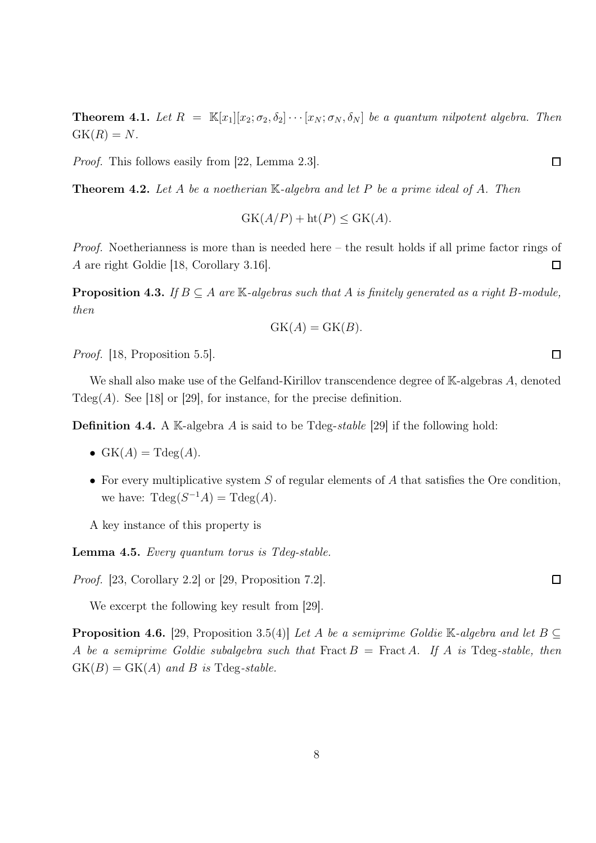**Theorem 4.1.** Let  $R = \mathbb{K}[x_1][x_2; \sigma_2, \delta_2] \cdots [x_N; \sigma_N, \delta_N]$  be a quantum nilpotent algebra. Then  $GK(R) = N$ .

Proof. This follows easily from [22, Lemma 2.3].

**Theorem 4.2.** Let A be a noetherian  $\mathbb{K}$ -algebra and let P be a prime ideal of A. Then

$$
GK(A/P) + ht(P) \leq GK(A).
$$

Proof. Noetherianness is more than is needed here – the result holds if all prime factor rings of A are right Goldie [18, Corollary 3.16].  $\Box$ 

**Proposition 4.3.** If  $B \subseteq A$  are  $\mathbb{K}\text{-}algebras \text{ such that } A$  is finitely generated as a right B-module, then

$$
GK(A) = GK(B).
$$

Proof. [18, Proposition 5.5].

We shall also make use of the Gelfand-Kirillov transcendence degree of K-algebras A, denoted  $\text{Tdeg}(A)$ . See [18] or [29], for instance, for the precise definition.

**Definition 4.4.** A K-algebra A is said to be Tdeg-stable [29] if the following hold:

- $GK(A) = Tdeg(A)$ .
- For every multiplicative system  $S$  of regular elements of  $A$  that satisfies the Ore condition, we have:  $\text{Tdeg}(S^{-1}A) = \text{Tdeg}(A)$ .

A key instance of this property is

Lemma 4.5. Every quantum torus is Tdeg-stable.

Proof. [23, Corollary 2.2] or [29, Proposition 7.2].

We excerpt the following key result from [29].

**Proposition 4.6.** [29, Proposition 3.5(4)] Let A be a semiprime Goldie K-algebra and let  $B \subseteq$ A be a semiprime Goldie subalgebra such that Fract  $B =$  Fract A. If A is Tdeg-stable, then  $GK(B) = GK(A)$  and B is Tdeg-stable.

 $\Box$ 

 $\Box$ 

 $\Box$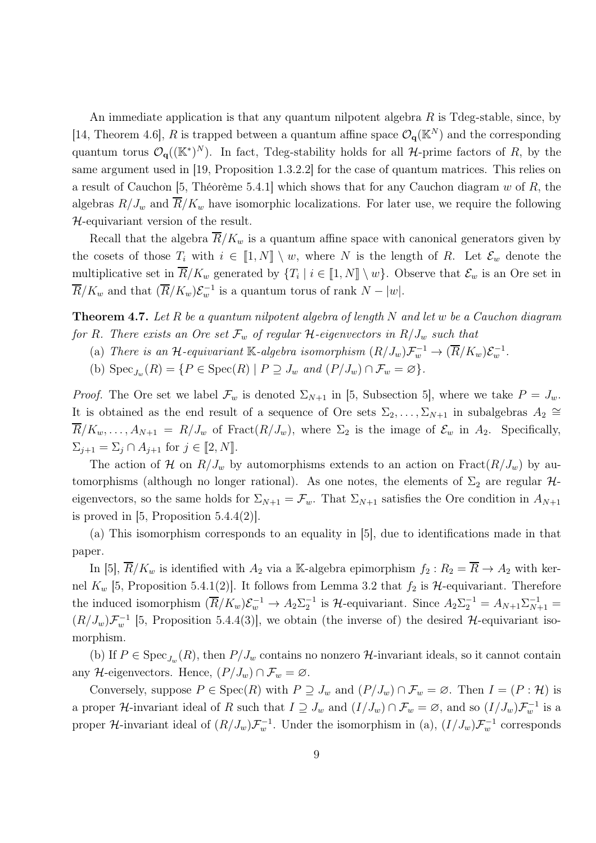An immediate application is that any quantum nilpotent algebra  $R$  is Tdeg-stable, since, by [14, Theorem 4.6], R is trapped between a quantum affine space  $\mathcal{O}_q(\mathbb{K}^N)$  and the corresponding quantum torus  $\mathcal{O}_{q}((\mathbb{K}^*)^N)$ . In fact, Tdeg-stability holds for all H-prime factors of R, by the same argument used in [19, Proposition 1.3.2.2] for the case of quantum matrices. This relies on a result of Cauchon [5, Théorème 5.4.1] which shows that for any Cauchon diagram w of R, the algebras  $R/J_w$  and  $\overline{R}/K_w$  have isomorphic localizations. For later use, we require the following H-equivariant version of the result.

Recall that the algebra  $\overline{R}/K_w$  is a quantum affine space with canonical generators given by the cosets of those  $T_i$  with  $i \in [1, N] \setminus w$ , where N is the length of R. Let  $\mathcal{E}_w$  denote the multiplicative set in  $R/K_w$  generated by  $\{T_i \mid i \in [1,N] \setminus w\}$ . Observe that  $\mathcal{E}_w$  is an Ore set in  $\overline{R}/K_w$  and that  $(\overline{R}/K_w)\mathcal{E}_w^{-1}$  is a quantum torus of rank  $N - |w|$ .

**Theorem 4.7.** Let R be a quantum nilpotent algebra of length N and let w be a Cauchon diagram for R. There exists an Ore set  $\mathcal{F}_w$  of regular H-eigenvectors in  $R/J_w$  such that

- (a) There is an H-equivariant K-algebra isomorphism  $(R/J_w)\mathcal{F}_w^{-1} \to (\overline{R}/K_w)\mathcal{E}_w^{-1}$ .
- (b)  $\text{Spec}_{J_w}(R) = \{ P \in \text{Spec}(R) \mid P \supseteq J_w \text{ and } (P/J_w) \cap \mathcal{F}_w = \varnothing \}.$

*Proof.* The Ore set we label  $\mathcal{F}_w$  is denoted  $\Sigma_{N+1}$  in [5, Subsection 5], where we take  $P = J_w$ . It is obtained as the end result of a sequence of Ore sets  $\Sigma_2, \ldots, \Sigma_{N+1}$  in subalgebras  $A_2 \cong$  $\overline{R}/K_w, \ldots, A_{N+1} = R/J_w$  of Fract $(R/J_w)$ , where  $\Sigma_2$  is the image of  $\mathcal{E}_w$  in  $A_2$ . Specifically,  $\Sigma_{j+1} = \Sigma_j \cap A_{j+1}$  for  $j \in [2, N]$ .

The action of H on  $R/J_w$  by automorphisms extends to an action on  $\text{Fract}(R/J_w)$  by automorphisms (although no longer rational). As one notes, the elements of  $\Sigma_2$  are regular  $\mathcal{H}$ eigenvectors, so the same holds for  $\Sigma_{N+1} = \mathcal{F}_w$ . That  $\Sigma_{N+1}$  satisfies the Ore condition in  $A_{N+1}$ is proved in  $[5,$  Proposition 5.4.4(2).

(a) This isomorphism corresponds to an equality in [5], due to identifications made in that paper.

In [5],  $\overline{R}/K_w$  is identified with  $A_2$  via a K-algebra epimorphism  $f_2 : R_2 = \overline{R} \to A_2$  with kernel  $K_w$  [5, Proposition 5.4.1(2)]. It follows from Lemma 3.2 that  $f_2$  is  $H$ -equivariant. Therefore the induced isomorphism  $(\overline{R}/K_w)\mathcal{E}_w^{-1} \to A_2\Sigma_2^{-1}$  is  $\mathcal{H}$ -equivariant. Since  $A_2\Sigma_2^{-1} = A_{N+1}\Sigma_{N+1}^{-1} =$  $(R/J_w)\mathcal{F}_w^{-1}$  [5, Proposition 5.4.4(3)], we obtain (the inverse of) the desired H-equivariant isomorphism.

(b) If  $P \in \text{Spec}_{J_w}(R)$ , then  $P/J_w$  contains no nonzero  $H$ -invariant ideals, so it cannot contain any H-eigenvectors. Hence,  $(P/J_w) \cap \mathcal{F}_w = \emptyset$ .

Conversely, suppose  $P \in \text{Spec}(R)$  with  $P \supseteq J_w$  and  $(P/J_w) \cap \mathcal{F}_w = \emptyset$ . Then  $I = (P : \mathcal{H})$  is a proper H-invariant ideal of R such that  $I \supseteq J_w$  and  $(I/J_w) \cap \mathcal{F}_w = \varnothing$ , and so  $(I/J_w)\mathcal{F}_w^{-1}$  is a proper H-invariant ideal of  $(R/J_w)\mathcal{F}_w^{-1}$ . Under the isomorphism in (a),  $(I/J_w)\mathcal{F}_w^{-1}$  corresponds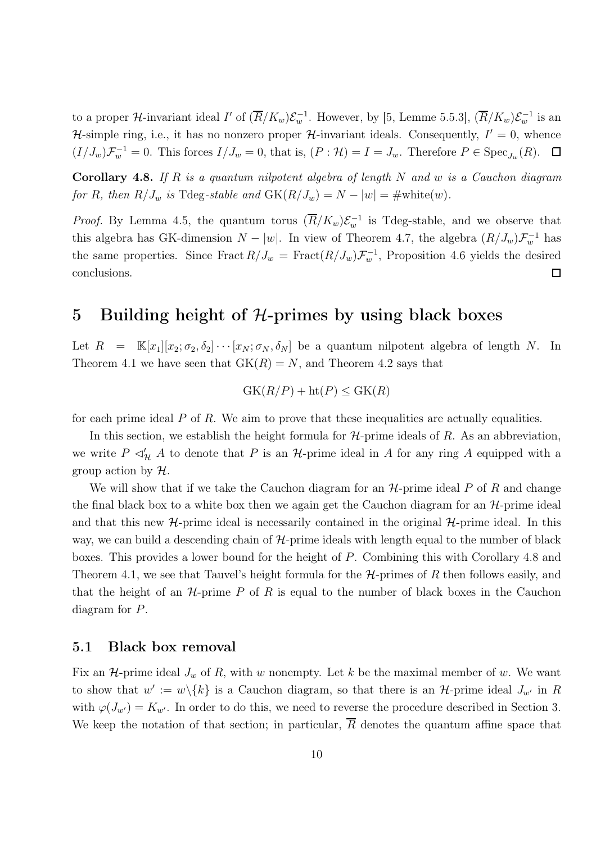to a proper H-invariant ideal  $I'$  of  $(\overline{R}/K_w)\mathcal{E}_w^{-1}$ . However, by [5, Lemme 5.5.3],  $(\overline{R}/K_w)\mathcal{E}_w^{-1}$  is an H-simple ring, i.e., it has no nonzero proper H-invariant ideals. Consequently,  $I' = 0$ , whence  $(I/J_w)\mathcal{F}_w^{-1} = 0$ . This forces  $I/J_w = 0$ , that is,  $(P: \mathcal{H}) = I = J_w$ . Therefore  $P \in \text{Spec}_{J_w}(R)$ .  $\Box$ 

**Corollary 4.8.** If R is a quantum nilpotent algebra of length N and w is a Cauchon diagram for R, then  $R/J_w$  is Tdeg-stable and  $GK(R/J_w) = N - |w| = \text{\#white}(w)$ .

*Proof.* By Lemma 4.5, the quantum torus  $(\overline{R}/K_w)\mathcal{E}_w^{-1}$  is Tdeg-stable, and we observe that this algebra has GK-dimension  $N - |w|$ . In view of Theorem 4.7, the algebra  $(R/J_w) \mathcal{F}_w^{-1}$  has the same properties. Since Fract  $R/J_w = \text{Fract}(R/J_w) \mathcal{F}_w^{-1}$ , Proposition 4.6 yields the desired conclusions.  $\Box$ 

### 5 Building height of  $H$ -primes by using black boxes

Let  $R = \mathbb{K}[x_1][x_2;\sigma_2,\delta_2]\cdots[x_N;\sigma_N,\delta_N]$  be a quantum nilpotent algebra of length N. In Theorem 4.1 we have seen that  $GK(R) = N$ , and Theorem 4.2 says that

$$
GK(R/P) + ht(P) \leq GK(R)
$$

for each prime ideal  $P$  of  $R$ . We aim to prove that these inequalities are actually equalities.

In this section, we establish the height formula for  $H$ -prime ideals of R. As an abbreviation, we write  $P \preceq'_{\mathcal{H}} A$  to denote that P is an H-prime ideal in A for any ring A equipped with a group action by  $\mathcal{H}$ .

We will show that if we take the Cauchon diagram for an  $H$ -prime ideal P of R and change the final black box to a white box then we again get the Cauchon diagram for an  $\mathcal{H}\text{-prime}$  ideal and that this new  $H$ -prime ideal is necessarily contained in the original  $H$ -prime ideal. In this way, we can build a descending chain of  $H$ -prime ideals with length equal to the number of black boxes. This provides a lower bound for the height of P. Combining this with Corollary 4.8 and Theorem 4.1, we see that Tauvel's height formula for the  $H$ -primes of R then follows easily, and that the height of an  $H$ -prime P of R is equal to the number of black boxes in the Cauchon diagram for P.

#### 5.1 Black box removal

Fix an H-prime ideal  $J_w$  of R, with w nonempty. Let k be the maximal member of w. We want to show that  $w' := w \setminus \{k\}$  is a Cauchon diagram, so that there is an H-prime ideal  $J_{w'}$  in R with  $\varphi(J_{w'})=K_{w'}$ . In order to do this, we need to reverse the procedure described in Section 3. We keep the notation of that section; in particular,  $\overline{R}$  denotes the quantum affine space that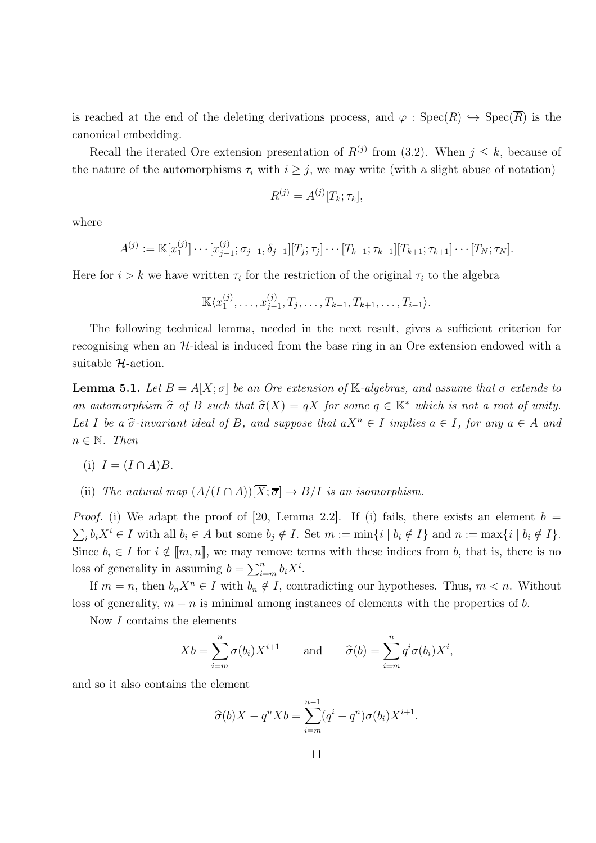is reached at the end of the deleting derivations process, and  $\varphi$ : Spec $(R) \hookrightarrow \text{Spec}(\overline{R})$  is the canonical embedding.

Recall the iterated Ore extension presentation of  $R^{(j)}$  from (3.2). When  $j \leq k$ , because of the nature of the automorphisms  $\tau_i$  with  $i \geq j$ , we may write (with a slight abuse of notation)

$$
R^{(j)} = A^{(j)}[T_k; \tau_k],
$$

where

$$
A^{(j)} := \mathbb{K}[x_1^{(j)}] \cdots [x_{j-1}^{(j)}; \sigma_{j-1}, \delta_{j-1}][T_j; \tau_j] \cdots [T_{k-1}; \tau_{k-1}][T_{k+1}; \tau_{k+1}] \cdots [T_N; \tau_N].
$$

Here for  $i > k$  we have written  $\tau_i$  for the restriction of the original  $\tau_i$  to the algebra

$$
\mathbb{K}\langle x_1^{(j)},\ldots,x_{j-1}^{(j)},T_j,\ldots,T_{k-1},T_{k+1},\ldots,T_{i-1}\rangle.
$$

The following technical lemma, needed in the next result, gives a sufficient criterion for recognising when an H-ideal is induced from the base ring in an Ore extension endowed with a suitable  $H$ -action.

**Lemma 5.1.** Let  $B = A[X; \sigma]$  be an Ore extension of K-algebras, and assume that  $\sigma$  extends to an automorphism  $\hat{\sigma}$  of B such that  $\hat{\sigma}(X) = qX$  for some  $q \in \mathbb{K}^*$  which is not a root of unity. Let I be a  $\hat{\sigma}$ -invariant ideal of B, and suppose that  $aX^n \in I$  implies  $a \in I$ , for any  $a \in A$  and  $n \in \mathbb{N}$ . Then

(i) 
$$
I = (I \cap A)B
$$
.

(ii) The natural map  $(A/(I \cap A))[\overline{X}; \overline{\sigma}] \rightarrow B/I$  is an isomorphism.

*Proof.* (i) We adapt the proof of [20, Lemma 2.2]. If (i) fails, there exists an element  $b =$  $\sum_i b_i X^i \in I$  with all  $b_i \in A$  but some  $b_j \notin I$ . Set  $m := \min\{i \mid b_i \notin I\}$  and  $n := \max\{i \mid b_i \notin I\}$ . Since  $b_i \in I$  for  $i \notin [m, n]$ , we may remove terms with these indices from b, that is, there is no loss of generality in assuming  $b = \sum_{i=m}^{n} b_i X^i$ .

If  $m = n$ , then  $b_n X^n \in I$  with  $b_n \notin I$ , contradicting our hypotheses. Thus,  $m < n$ . Without loss of generality,  $m - n$  is minimal among instances of elements with the properties of b.

Now I contains the elements

$$
Xb = \sum_{i=m}^{n} \sigma(b_i)X^{i+1} \quad \text{and} \quad \widehat{\sigma}(b) = \sum_{i=m}^{n} q^i \sigma(b_i)X^i,
$$

and so it also contains the element

$$
\widehat{\sigma}(b)X - q^n X b = \sum_{i=m}^{n-1} (q^i - q^n) \sigma(b_i) X^{i+1}.
$$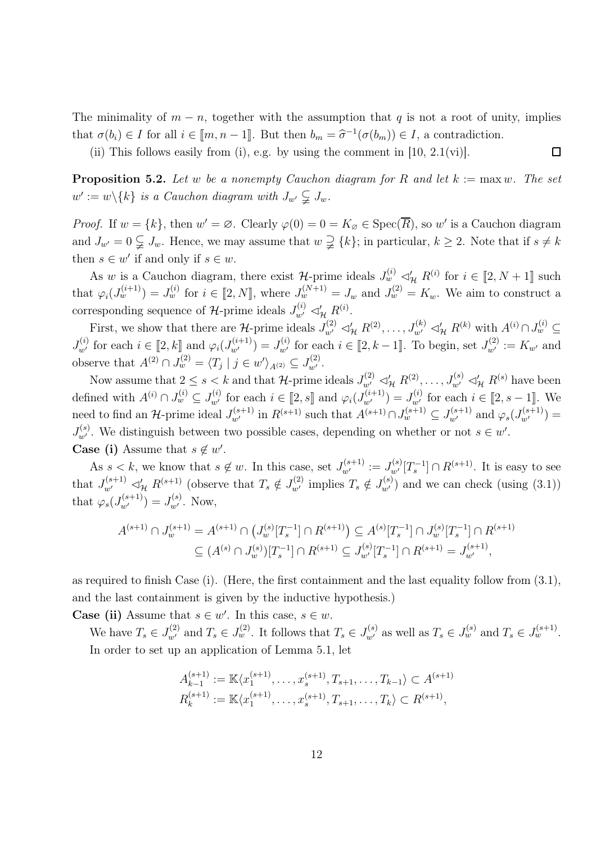The minimality of  $m - n$ , together with the assumption that q is not a root of unity, implies that  $\sigma(b_i) \in I$  for all  $i \in [\![m, n-1]\!]$ . But then  $b_m = \widehat{\sigma}^{-1}(\sigma(b_m)) \in I$ , a contradiction.

 $\Box$ 

(ii) This follows easily from (i), e.g. by using the comment in  $[10, 2.1(vi)]$ .

**Proposition 5.2.** Let w be a nonempty Cauchon diagram for R and let  $k := max w$ . The set  $w' := w \backslash \{k\}$  is a Cauchon diagram with  $J_{w'} \subsetneqq J_w$ .

*Proof.* If  $w = \{k\}$ , then  $w' = \emptyset$ . Clearly  $\varphi(0) = 0 = K_{\emptyset} \in \text{Spec}(\overline{R})$ , so w' is a Cauchon diagram and  $J_{w'} = 0 \subsetneq J_w$ . Hence, we may assume that  $w \supsetneq \{k\}$ ; in particular,  $k \geq 2$ . Note that if  $s \neq k$ then  $s \in w'$  if and only if  $s \in w$ .

As w is a Cauchon diagram, there exist  $\mathcal{H}$ -prime ideals  $J_w^{(i)} \lhd'_{\mathcal{H}} R^{(i)}$  for  $i \in [2, N + 1]$  such that  $\varphi_i(J_w^{(i+1)}) = J_w^{(i)}$  for  $i \in [2, N]$ , where  $J_w^{(N+1)} = J_w$  and  $J_w^{(2)} = K_w$ . We aim to construct a corresponding sequence of  $\mathcal{H}$ -prime ideals  $J_{w'}^{(i)} \lhd'_{\mathcal{H}} R^{(i)}$ .

First, we show that there are H-prime ideals  $J_{w'}^{(2)} \lhd'_{\mathcal{H}} R^{(2)}, \ldots, J_{w'}^{(k)} \lhd'_{\mathcal{H}} R^{(k)}$  with  $A^{(i)} \cap J_w^{(i)} \subseteq$  $J_{w'}^{(i)}$  for each  $i \in [2, k]$  and  $\varphi_i(J_{w'}^{(i+1)}) = J_{w'}^{(i)}$  for each  $i \in [2, k-1]$ . To begin, set  $J_{w'}^{(2)} := K_{w'}$  and observe that  $A^{(2)} \cap J_w^{(2)} = \langle T_j | j \in w' \rangle_{A^{(2)}} \subseteq J_{w'}^{(2)}$ .

Now assume that  $2 \le s < k$  and that  $\mathcal{H}$ -prime ideals  $J_{w'}^{(2)} \lhd'_\mathcal{H} R^{(2)}, \ldots, J_{w'}^{(s)} \lhd'_\mathcal{H} R^{(s)}$  have been defined with  $A^{(i)} \cap J_w^{(i)} \subseteq J_{w'}^{(i)}$  for each  $i \in [2, s]$  and  $\varphi_i(J_{w'}^{(i+1)}) = J_{w'}^{(i)}$  for each  $i \in [2, s-1]$ . We need to find an H-prime ideal  $J_{w'}^{(s+1)}$  in  $R^{(s+1)}$  such that  $A^{(s+1)} \cap J_w^{(s+1)} \subseteq J_{w'}^{(s+1)}$  and  $\varphi_s(J_{w'}^{(s+1)}) =$  $J_{w'}^{(s)}$ . We distinguish between two possible cases, depending on whether or not  $s \in w'$ . **Case (i)** Assume that  $s \notin w'$ .

As  $s < k$ , we know that  $s \notin w$ . In this case, set  $J_{w'}^{(s+1)} := J_{w'}^{(s)}[T_s^{-1}] \cap R^{(s+1)}$ . It is easy to see that  $J_{w'}^{(s+1)} \lhd'_{\mathcal{H}} R^{(s+1)}$  (observe that  $T_s \notin J_{w'}^{(2)}$  implies  $T_s \notin J_{w'}^{(s)}$ ) and we can check (using (3.1)) that  $\varphi_s(J_{w'}^{(s+1)}) = J_{w'}^{(s)}$ . Now,

$$
A^{(s+1)} \cap J_w^{(s+1)} = A^{(s+1)} \cap (J_w^{(s)}[T_s^{-1}] \cap R^{(s+1)}) \subseteq A^{(s)}[T_s^{-1}] \cap J_w^{(s)}[T_s^{-1}] \cap R^{(s+1)}
$$
  

$$
\subseteq (A^{(s)} \cap J_w^{(s)})[T_s^{-1}] \cap R^{(s+1)} \subseteq J_{w'}^{(s)}[T_s^{-1}] \cap R^{(s+1)} = J_{w'}^{(s+1)},
$$

as required to finish Case (i). (Here, the first containment and the last equality follow from (3.1), and the last containment is given by the inductive hypothesis.)

**Case (ii)** Assume that  $s \in w'$ . In this case,  $s \in w$ .

We have  $T_s \in J_{w'}^{(2)}$  and  $T_s \in J_w^{(2)}$ . It follows that  $T_s \in J_{w'}^{(s)}$  as well as  $T_s \in J_w^{(s)}$  and  $T_s \in J_w^{(s+1)}$ . In order to set up an application of Lemma 5.1, let

$$
A_{k-1}^{(s+1)} := \mathbb{K}\langle x_1^{(s+1)}, \dots, x_s^{(s+1)}, T_{s+1}, \dots, T_{k-1} \rangle \subset A^{(s+1)}
$$
  

$$
R_k^{(s+1)} := \mathbb{K}\langle x_1^{(s+1)}, \dots, x_s^{(s+1)}, T_{s+1}, \dots, T_k \rangle \subset R^{(s+1)},
$$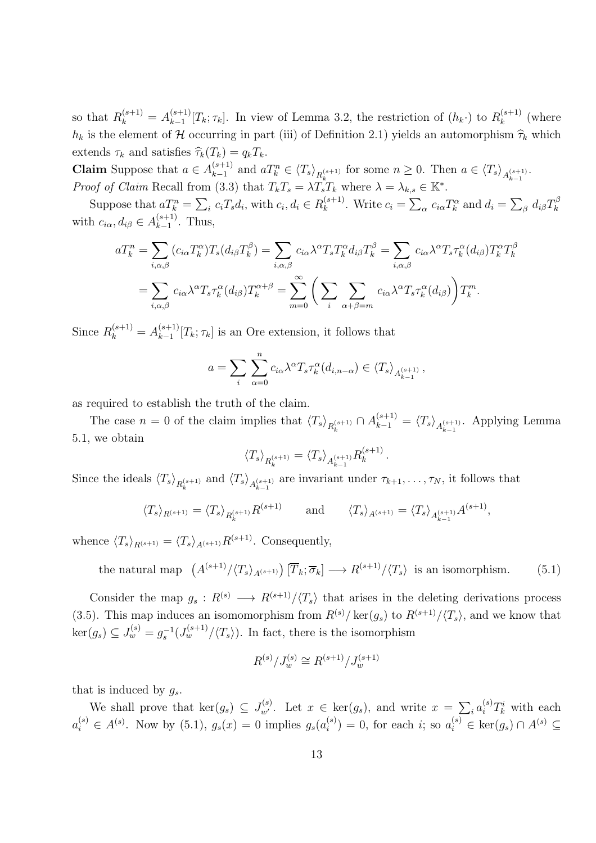so that  $R_k^{(s+1)} = A_{k-1}^{(s+1)}$  $\binom{(s+1)}{k-1}[T_k; \tau_k]$ . In view of Lemma 3.2, the restriction of  $(h_k \cdot)$  to  $R_k^{(s+1)}$  $k^{(s+1)}$  (where  $h_k$  is the element of H occurring in part (iii) of Definition 2.1) yields an automorphism  $\hat{\tau}_k$  which extends  $\tau_k$  and satisfies  $\widehat{\tau}_k(T_k) = q_kT_k$ .

**Claim** Suppose that  $a \in A_{k-1}^{(s+1)}$  $\sum_{k=1}^{(s+1)}$  and  $aT_k^n \in {\langle T_s \rangle}_{R_k^{(s+1)}}$  for some  $n \geq 0$ . Then  $a \in {\langle T_s \rangle}_{A_{k-1}^{(s+1)}}$ . *Proof of Claim* Recall from (3.3) that  $T_kT_s = \lambda T_sT_k$  where  $\lambda = \lambda_{k,s} \in \mathbb{K}^*$ .

Suppose that  $aT_k^n = \sum_i c_iT_s d_i$ , with  $c_i, d_i \in R_k^{(s+1)}$  $k_k^{(s+1)}$ . Write  $c_i = \sum_{\alpha} c_{i\alpha} T_k^{\alpha}$  and  $d_i = \sum_{\beta} d_{i\beta} T_k^{\beta}$ k with  $c_{i\alpha}$ ,  $d_{i\beta} \in A_{k-1}^{(s+1)}$  $\binom{s+1}{k-1}$ . Thus,

$$
aT_k^n = \sum_{i,\alpha,\beta} (c_{i\alpha} T_k^{\alpha}) T_s (d_{i\beta} T_k^{\beta}) = \sum_{i,\alpha,\beta} c_{i\alpha} \lambda^{\alpha} T_s T_k^{\alpha} d_{i\beta} T_k^{\beta} = \sum_{i,\alpha,\beta} c_{i\alpha} \lambda^{\alpha} T_s \tau_k^{\alpha} (d_{i\beta}) T_k^{\alpha} T_k^{\beta}
$$

$$
= \sum_{i,\alpha,\beta} c_{i\alpha} \lambda^{\alpha} T_s \tau_k^{\alpha} (d_{i\beta}) T_k^{\alpha+\beta} = \sum_{m=0}^{\infty} \left( \sum_{i} \sum_{\alpha+\beta=m} c_{i\alpha} \lambda^{\alpha} T_s \tau_k^{\alpha} (d_{i\beta}) \right) T_k^m.
$$

Since  $R_k^{(s+1)} = A_{k-1}^{(s+1)}$  $\binom{(s+1)}{k-1}[T_k; \tau_k]$  is an Ore extension, it follows that

$$
a = \sum_{i} \sum_{\alpha=0}^{n} c_{i\alpha} \lambda^{\alpha} T_{s} \tau_{k}^{\alpha}(d_{i,n-\alpha}) \in \langle T_{s} \rangle_{A_{k-1}^{(s+1)}},
$$

as required to establish the truth of the claim.

The case  $n = 0$  of the claim implies that  $\langle T_s \rangle_{R_k^{(s+1)}} \cap A_{k-1}^{(s+1)} = \langle T_s \rangle_{A_{k-1}^{(s+1)}}$ . Applying Lemma 5.1, we obtain

$$
\langle T_s \rangle_{R_k^{(s+1)}} = \langle T_s \rangle_{A_{k-1}^{(s+1)}} R_k^{(s+1)}.
$$

Since the ideals  $\langle T_s \rangle_{R_k^{(s+1)}}$  and  $\langle T_s \rangle_{A_{k-1}^{(s+1)}}$  are invariant under  $\tau_{k+1}, \ldots, \tau_N$ , it follows that

$$
\langle T_s \rangle_{R^{(s+1)}} = \langle T_s \rangle_{R^{(s+1)}_k} R^{(s+1)} \quad \text{and} \quad \langle T_s \rangle_{A^{(s+1)}} = \langle T_s \rangle_{A^{(s+1)}_{k-1}} A^{(s+1)},
$$

whence  $\langle T_s \rangle_{R(s+1)} = \langle T_s \rangle_{A(s+1)} R^{(s+1)}$ . Consequently,

the natural map 
$$
(A^{(s+1)}/\langle T_s \rangle_{A^{(s+1)}}) [\overline{T}_k; \overline{\sigma}_k] \longrightarrow R^{(s+1)}/\langle T_s \rangle
$$
 is an isomorphism. (5.1)

Consider the map  $g_s: R^{(s)} \longrightarrow R^{(s+1)}/\langle T_s \rangle$  that arises in the deleting derivations process (3.5). This map induces an isomomorphism from  $R^{(s)}/\text{ker}(g_s)$  to  $R^{(s+1)}/\langle T_s\rangle$ , and we know that  $\ker(g_s) \subseteq J_w^{(s)} = g_s^{-1}(J_w^{(s+1)}/\langle T_s \rangle)$ . In fact, there is the isomorphism

$$
R^{(s)}/J^{(s)}_w \cong R^{(s+1)}/J^{(s+1)}_w
$$

that is induced by  $q_s$ .

We shall prove that  $\ker(g_s) \subseteq J_{w'}^{(s)}$ . Let  $x \in \ker(g_s)$ , and write  $x = \sum_i a_i^{(s)} T_k^i$  with each  $a_i^{(s)} \in A^{(s)}$ . Now by (5.1),  $g_s(x) = 0$  implies  $g_s(a_i^{(s)})$  $i^{(s)}$  = 0, for each *i*; so  $a_i^{(s)} \in \text{ker}(g_s) \cap A^{(s)} \subseteq$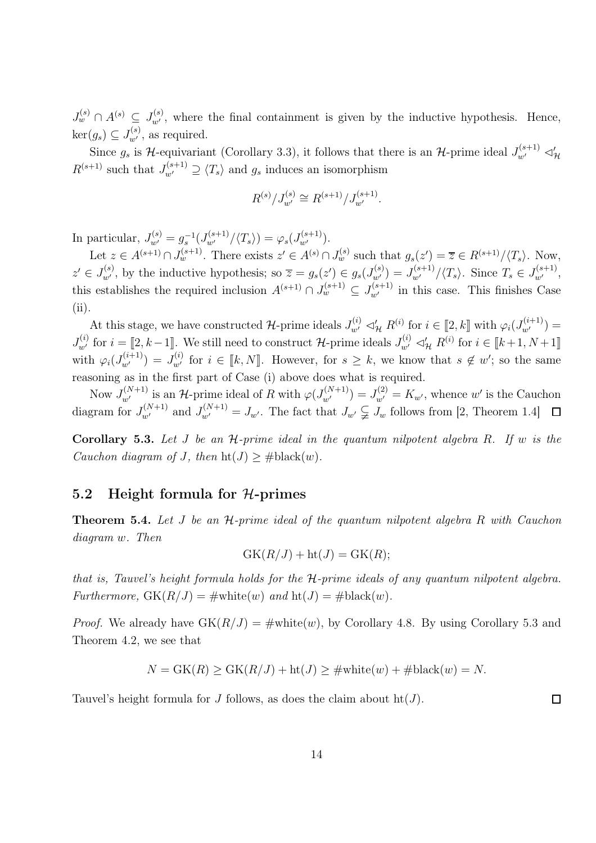$J_{w}^{(s)} \cap A^{(s)} \subseteq J_{w'}^{(s)}$ , where the final containment is given by the inductive hypothesis. Hence,  $\ker(g_s) \subseteq J_{w'}^{(s)}$ , as required.

Since  $g_s$  is H-equivariant (Corollary 3.3), it follows that there is an H-prime ideal  $J_{w'}^{(s+1)} \lhd'_{\mathcal{H}}$  $R^{(s+1)}$  such that  $J_{w'}^{(s+1)} \supseteq \langle T_s \rangle$  and  $g_s$  induces an isomorphism

$$
R^{(s)}/J_{w'}^{(s)} \cong R^{(s+1)}/J_{w'}^{(s+1)}.
$$

In particular,  $J_{w'}^{(s)} = g_s^{-1}(J_{w'}^{(s+1)}/\langle T_s \rangle) = \varphi_s(J_{w'}^{(s+1)})$ .

Let  $z \in A^{(s+1)} \cap J_w^{(s+1)}$ . There exists  $z' \in A^{(s)} \cap J_w^{(s)}$  such that  $g_s(z') = \overline{z} \in R^{(s+1)}/\langle T_s \rangle$ . Now,  $z' \in J_{w'}^{(s)}$ , by the inductive hypothesis; so  $\overline{z} = g_s(z') \in g_s(J_{w'}^{(s)}) = J_{w'}^{(s+1)}/\langle T_s \rangle$ . Since  $T_s \in J_{w'}^{(s+1)}$ , this establishes the required inclusion  $A^{(s+1)} \cap J_w^{(s+1)} \subseteq J_{w'}^{(s+1)}$  in this case. This finishes Case (ii).

At this stage, we have constructed H-prime ideals  $J_{w'}^{(i)} \lhd'_{\mathcal{H}} R^{(i)}$  for  $i \in [2, k]$  with  $\varphi_i(J_{w'}^{(i+1)}) =$  $J_{w'}^{(i)}$  for  $i = \llbracket 2, k-1 \rrbracket$ . We still need to construct  $\mathcal{H}$ -prime ideals  $J_{w'}^{(i)} \lhd'_{\mathcal{H}} R^{(i)}$  for  $i \in \llbracket k+1, N+1 \rrbracket$ with  $\varphi_i(J_{w'}^{(i+1)}) = J_{w'}^{(i)}$  for  $i \in [k, N]$ . However, for  $s \geq k$ , we know that  $s \notin w'$ ; so the same reasoning as in the first part of Case (i) above does what is required.

Now  $J_{w'}^{(N+1)}$  is an H-prime ideal of R with  $\varphi(J_{w'}^{(N+1)}) = J_{w'}^{(2)} = K_{w'}$ , whence w' is the Cauchon diagram for  $J_{w'}^{(N+1)}$  and  $J_{w'}^{(N+1)} = J_{w'}$ . The fact that  $J_{w'} \subsetneq J_w$  follows from [2, Theorem 1.4]

**Corollary 5.3.** Let  $J$  be an  $H$ -prime ideal in the quantum nilpotent algebra  $R$ . If  $w$  is the Cauchon diagram of J, then  $\text{ht}(J) > # \text{black}(w)$ .

#### 5.2 Height formula for  $H$ -primes

**Theorem 5.4.** Let J be an  $H$ -prime ideal of the quantum nilpotent algebra R with Cauchon diagram w. Then

$$
GK(R/J) + ht(J) = GK(R);
$$

that is, Tauvel's height formula holds for the  $H$ -prime ideals of any quantum nilpotent algebra. Furthermore,  $GK(R/J) = \text{\#white}(w)$  and  $ht(J) = \text{\#black}(w)$ .

*Proof.* We already have  $GK(R/J) = \#white(w)$ , by Corollary 4.8. By using Corollary 5.3 and Theorem 4.2, we see that

$$
N = GK(R) \ge GK(R/J) + ht(J) \ge \#white(w) + #black(w) = N.
$$

Tauvel's height formula for J follows, as does the claim about  $\text{ht}(J)$ .

 $\Box$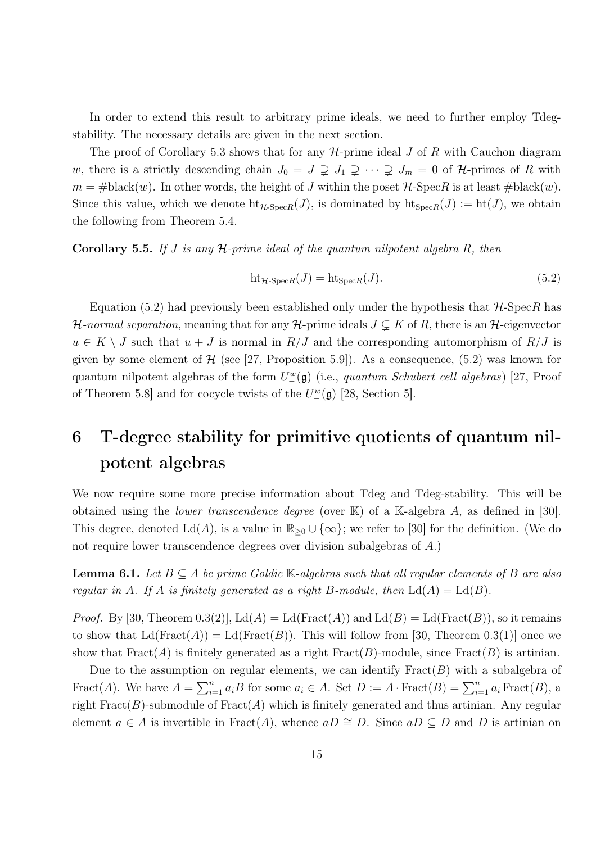In order to extend this result to arbitrary prime ideals, we need to further employ Tdegstability. The necessary details are given in the next section.

The proof of Corollary 5.3 shows that for any  $H$ -prime ideal  $J$  of  $R$  with Cauchon diagram w, there is a strictly descending chain  $J_0 = J \supsetneq J_1 \supsetneq \cdots \supsetneq J_m = 0$  of H-primes of R with  $m = #black(w)$ . In other words, the height of J within the poset  $H$ -SpecR is at least  $#black(w)$ . Since this value, which we denote  $\text{ht}_{H\text{-}SpecR}(J)$ , is dominated by  $\text{ht}_{SpecR}(J) := \text{ht}(J)$ , we obtain the following from Theorem 5.4.

**Corollary 5.5.** If J is any  $H$ -prime ideal of the quantum nilpotent algebra R, then

$$
ht_{\mathcal{H}\text{-Spec}R}(J) = ht_{SpecR}(J). \tag{5.2}
$$

Equation (5.2) had previously been established only under the hypothesis that  $H$ -SpecR has H-normal separation, meaning that for any H-prime ideals  $J \subsetneq K$  of R, there is an H-eigenvector  $u \in K \setminus J$  such that  $u + J$  is normal in  $R/J$  and the corresponding automorphism of  $R/J$  is given by some element of  $H$  (see [27, Proposition 5.9]). As a consequence, (5.2) was known for quantum nilpotent algebras of the form  $U^w_-(\mathfrak{g})$  (i.e., quantum Schubert cell algebras) [27, Proof of Theorem 5.8] and for cocycle twists of the  $U^w_-(\mathfrak{g})$  [28, Section 5].

# 6 T-degree stability for primitive quotients of quantum nilpotent algebras

We now require some more precise information about Tdeg and Tdeg-stability. This will be obtained using the *lower transcendence degree* (over  $K$ ) of a  $K$ -algebra A, as defined in [30]. This degree, denoted  $\text{Ld}(A)$ , is a value in  $\mathbb{R}_{>0} \cup \{\infty\}$ ; we refer to [30] for the definition. (We do not require lower transcendence degrees over division subalgebras of A.)

**Lemma 6.1.** Let  $B \subseteq A$  be prime Goldie K-algebras such that all regular elements of B are also regular in A. If A is finitely generated as a right B-module, then  $\mathrm{Ld}(A) = \mathrm{Ld}(B)$ .

*Proof.* By [30, Theorem 0.3(2)],  $L(dA) = L(d(Fract(A))$  and  $L(dB) = L(d(Fract(B)))$ , so it remains to show that  $\text{Ld}(\text{Fract}(A)) = \text{Ld}(\text{Fract}(B)).$  This will follow from [30, Theorem 0.3(1)] once we show that  $\text{Frac}(A)$  is finitely generated as a right  $\text{Frac}(B)$ -module, since  $\text{Frac}(B)$  is artinian.

Due to the assumption on regular elements, we can identify  $\text{Fract}(B)$  with a subalgebra of Fract(A). We have  $A = \sum_{i=1}^{n} a_i B$  for some  $a_i \in A$ . Set  $D := A \cdot \text{Fract}(B) = \sum_{i=1}^{n} a_i \text{Fract}(B)$ , a right  $\text{Fract}(B)$ -submodule of  $\text{Fract}(A)$  which is finitely generated and thus artinian. Any regular element  $a \in A$  is invertible in Fract(A), whence  $aD \cong D$ . Since  $aD \subseteq D$  and D is artinian on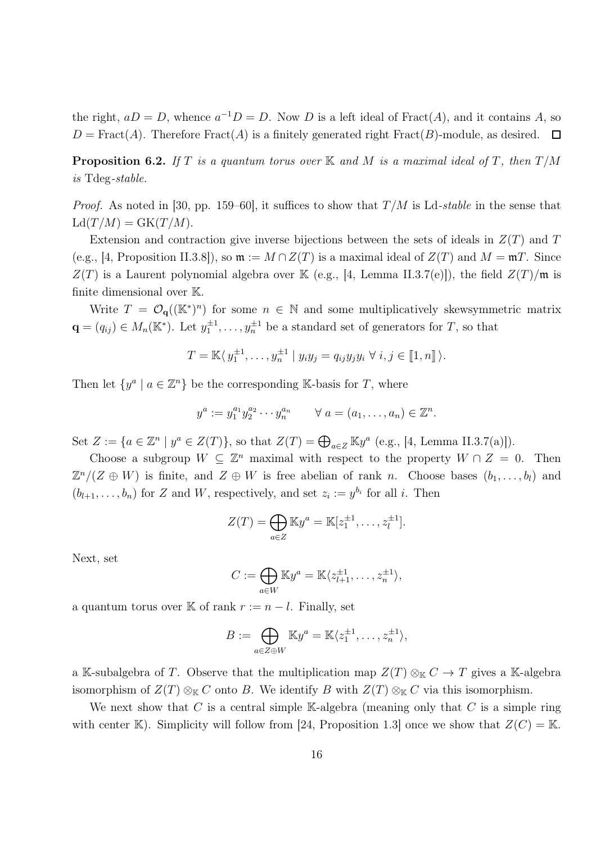the right,  $aD = D$ , whence  $a^{-1}D = D$ . Now D is a left ideal of Fract(A), and it contains A, so  $D = \text{Fract}(A)$ . Therefore  $\text{Fract}(A)$  is a finitely generated right  $\text{Fract}(B)$ -module, as desired.  $\Box$ 

**Proposition 6.2.** If T is a quantum torus over K and M is a maximal ideal of T, then  $T/M$ is Tdeg-stable.

*Proof.* As noted in [30, pp. 159–60], it suffices to show that  $T/M$  is Ld-stable in the sense that  $Ld(T/M) = GK(T/M).$ 

Extension and contraction give inverse bijections between the sets of ideals in  $Z(T)$  and T (e.g., [4, Proposition II.3.8]), so  $\mathfrak{m} := M \cap Z(T)$  is a maximal ideal of  $Z(T)$  and  $M = \mathfrak{m}T$ . Since  $Z(T)$  is a Laurent polynomial algebra over K (e.g., [4, Lemma II.3.7(e)]), the field  $Z(T)/m$  is finite dimensional over K.

Write  $T = \mathcal{O}_{q}((\mathbb{K}^*)^n)$  for some  $n \in \mathbb{N}$  and some multiplicatively skewsymmetric matrix  $\mathbf{q} = (q_{ij}) \in M_n(\mathbb{K}^*)$ . Let  $y_1^{\pm 1}, \ldots, y_n^{\pm 1}$  be a standard set of generators for T, so that

$$
T = \mathbb{K}\langle y_1^{\pm 1}, \dots, y_n^{\pm 1} \mid y_i y_j = q_{ij} y_j y_i \ \forall \ i, j \in [\![ 1, n ]\!]\rangle.
$$

Then let  $\{y^a \mid a \in \mathbb{Z}^n\}$  be the corresponding K-basis for T, where

$$
y^{a} := y_1^{a_1} y_2^{a_2} \cdots y_n^{a_n} \qquad \forall \ a = (a_1, \ldots, a_n) \in \mathbb{Z}^n.
$$

Set  $Z := \{a \in \mathbb{Z}^n \mid y^a \in Z(T)\}\$ , so that  $Z(T) = \bigoplus_{a \in Z} \mathbb{K} y^a$  (e.g., [4, Lemma II.3.7(a)]).

Choose a subgroup  $W \subseteq \mathbb{Z}^n$  maximal with respect to the property  $W \cap Z = 0$ . Then  $\mathbb{Z}^n/(Z \oplus W)$  is finite, and  $Z \oplus W$  is free abelian of rank n. Choose bases  $(b_1, \ldots, b_l)$  and  $(b_{l+1},\ldots,b_n)$  for Z and W, respectively, and set  $z_i := y^{b_i}$  for all i. Then

$$
Z(T) = \bigoplus_{a \in Z} \mathbb{K}y^a = \mathbb{K}[z_1^{\pm 1}, \dots, z_l^{\pm 1}].
$$

Next, set

$$
C := \bigoplus_{a \in W} \mathbb{K}y^a = \mathbb{K}\langle z_{l+1}^{\pm 1}, \dots, z_n^{\pm 1} \rangle,
$$

a quantum torus over K of rank  $r := n - l$ . Finally, set

$$
B := \bigoplus_{a \in Z \oplus W} \mathbb{K}y^a = \mathbb{K}\langle z_1^{\pm 1}, \dots, z_n^{\pm 1} \rangle,
$$

a K-subalgebra of T. Observe that the multiplication map  $Z(T) \otimes_{\mathbb{K}} C \to T$  gives a K-algebra isomorphism of  $Z(T) \otimes_{\mathbb{K}} C$  onto B. We identify B with  $Z(T) \otimes_{\mathbb{K}} C$  via this isomorphism.

We next show that C is a central simple K-algebra (meaning only that C is a simple ring with center K). Simplicity will follow from [24, Proposition 1.3] once we show that  $Z(C) = K$ .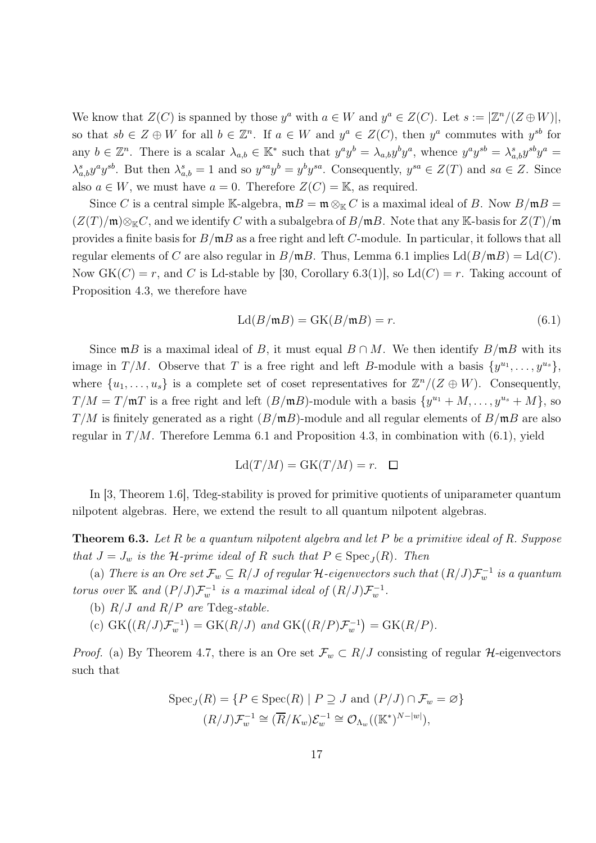We know that  $Z(C)$  is spanned by those  $y^a$  with  $a \in W$  and  $y^a \in Z(C)$ . Let  $s := |\mathbb{Z}^n/(Z \oplus W)|$ , so that  $sb \in \mathbb{Z} \oplus W$  for all  $b \in \mathbb{Z}^n$ . If  $a \in W$  and  $y^a \in \mathbb{Z}(C)$ , then  $y^a$  commutes with  $y^{sb}$  for any  $b \in \mathbb{Z}^n$ . There is a scalar  $\lambda_{a,b} \in \mathbb{K}^*$  such that  $y^a y^b = \lambda_{a,b} y^b y^a$ , whence  $y^a y^{sb} = \lambda_{a,b}^s y^{sb} y^a =$  $\lambda_{a,b}^s y^a y^{sb}$ . But then  $\lambda_{a,b}^s = 1$  and so  $y^{sa} y^b = y^b y^{sa}$ . Consequently,  $y^{sa} \in Z(T)$  and  $sa \in Z$ . Since also  $a \in W$ , we must have  $a = 0$ . Therefore  $Z(C) = \mathbb{K}$ , as required.

Since C is a central simple K-algebra,  $mB = m \otimes_{\mathbb{K}} C$  is a maximal ideal of B. Now  $B/mB =$  $(Z(T)/\mathfrak{m})\otimes_{\mathbb{K}} C$ , and we identify C with a subalgebra of  $B/\mathfrak{m}B$ . Note that any K-basis for  $Z(T)/\mathfrak{m}$ provides a finite basis for  $B/\mathfrak{m}B$  as a free right and left C-module. In particular, it follows that all regular elements of C are also regular in  $B/\mathfrak{m}B$ . Thus, Lemma 6.1 implies  $\mathrm{Ld}(B/\mathfrak{m}B) = \mathrm{Ld}(C)$ . Now  $GK(C) = r$ , and C is Ld-stable by [30, Corollary 6.3(1)], so  $L(d(C)) = r$ . Taking account of Proposition 4.3, we therefore have

$$
Ld(B/\mathfrak{m}B) = GK(B/\mathfrak{m}B) = r.
$$
\n(6.1)

Since  $mB$  is a maximal ideal of B, it must equal  $B \cap M$ . We then identify  $B/mB$  with its image in T/M. Observe that T is a free right and left B-module with a basis  $\{y^{u_1}, \ldots, y^{u_s}\},$ where  $\{u_1, \ldots, u_s\}$  is a complete set of coset representatives for  $\mathbb{Z}^n/(Z \oplus W)$ . Consequently,  $T/M = T/\mathfrak{m}T$  is a free right and left  $(B/\mathfrak{m}B)$ -module with a basis  $\{y^{u_1} + M, \ldots, y^{u_s} + M\}$ , so  $T/M$  is finitely generated as a right  $(B/\mathfrak{m}B)$ -module and all regular elements of  $B/\mathfrak{m}B$  are also regular in  $T/M$ . Therefore Lemma 6.1 and Proposition 4.3, in combination with (6.1), yield

$$
Ld(T/M) = GK(T/M) = r. \quad \Box
$$

In [3, Theorem 1.6], Tdeg-stability is proved for primitive quotients of uniparameter quantum nilpotent algebras. Here, we extend the result to all quantum nilpotent algebras.

**Theorem 6.3.** Let R be a quantum nilpotent algebra and let P be a primitive ideal of R. Suppose that  $J = J_w$  is the H-prime ideal of R such that  $P \in \text{Spec}_J(R)$ . Then

(a) There is an Ore set  $\mathcal{F}_w \subseteq R/J$  of regular  $\mathcal{H}$ -eigenvectors such that  $(R/J)\mathcal{F}_w^{-1}$  is a quantum torus over K and  $(P/J)\mathcal{F}_{w}^{-1}$  is a maximal ideal of  $(R/J)\mathcal{F}_{w}^{-1}$ .

(b)  $R/J$  and  $R/P$  are Tdeg-stable.

(c)  $GK((R/J)\mathcal{F}_w^{-1}) = GK(R/J)$  and  $GK((R/P)\mathcal{F}_w^{-1}) = GK(R/P).$ 

*Proof.* (a) By Theorem 4.7, there is an Ore set  $\mathcal{F}_w \subset R/J$  consisting of regular H-eigenvectors such that

$$
Spec_J(R) = \{ P \in Spec(R) \mid P \supseteq J \text{ and } (P/J) \cap \mathcal{F}_w = \varnothing \}
$$

$$
(R/J)\mathcal{F}_w^{-1} \cong (\overline{R}/K_w)\mathcal{E}_w^{-1} \cong \mathcal{O}_{\Lambda_w}((\mathbb{K}^*)^{N-|w|}),
$$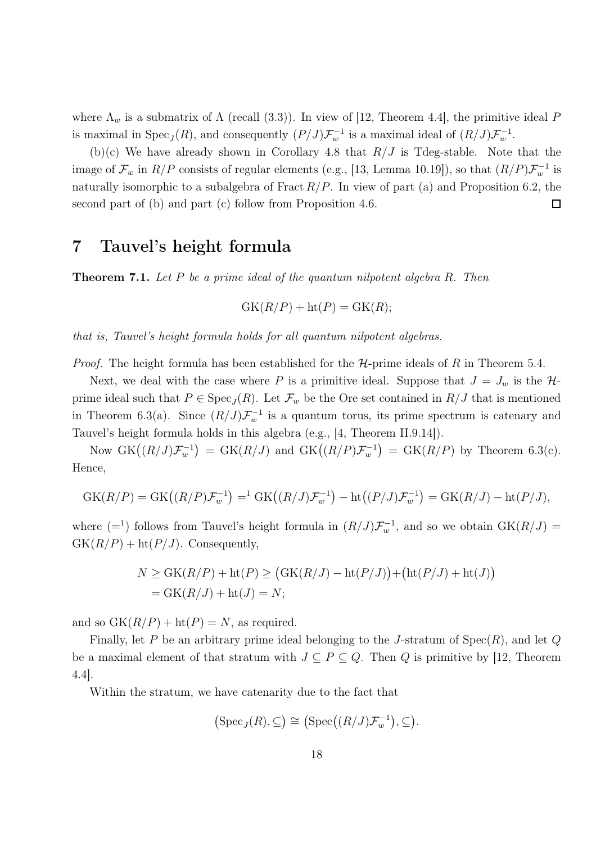where  $\Lambda_w$  is a submatrix of  $\Lambda$  (recall (3.3)). In view of [12, Theorem 4.4], the primitive ideal P is maximal in  $Spec_J(R)$ , and consequently  $(P/J)\mathcal{F}_{w}^{-1}$  is a maximal ideal of  $(R/J)\mathcal{F}_{w}^{-1}$ .

(b)(c) We have already shown in Corollary 4.8 that  $R/J$  is Tdeg-stable. Note that the image of  $\mathcal{F}_w$  in  $R/P$  consists of regular elements (e.g., [13, Lemma 10.19]), so that  $(R/P)\mathcal{F}_w^{-1}$  is naturally isomorphic to a subalgebra of Fract  $R/P$ . In view of part (a) and Proposition 6.2, the second part of (b) and part (c) follow from Proposition 4.6.  $\Box$ 

## 7 Tauvel's height formula

**Theorem 7.1.** Let P be a prime ideal of the quantum nilpotent algebra R. Then

$$
GK(R/P) + ht(P) = GK(R);
$$

that is, Tauvel's height formula holds for all quantum nilpotent algebras.

*Proof.* The height formula has been established for the  $H$ -prime ideals of R in Theorem 5.4.

Next, we deal with the case where P is a primitive ideal. Suppose that  $J = J_w$  is the  $\mathcal{H}$ prime ideal such that  $P \in \text{Spec}_J(R)$ . Let  $\mathcal{F}_w$  be the Ore set contained in  $R/J$  that is mentioned in Theorem 6.3(a). Since  $(R/J)\mathcal{F}_{w}^{-1}$  is a quantum torus, its prime spectrum is catenary and Tauvel's height formula holds in this algebra (e.g., [4, Theorem II.9.14]).

Now  $GK((R/J)\mathcal{F}_{w}^{-1}) = GK(R/J)$  and  $GK((R/P)\mathcal{F}_{w}^{-1}) = GK(R/P)$  by Theorem 6.3(c). Hence,

$$
GK(R/P) = GK\big((R/P)\mathcal{F}_w^{-1}\big) = ^1 GK\big((R/J)\mathcal{F}_w^{-1}\big) - ht\big((P/J)\mathcal{F}_w^{-1}\big) = GK(R/J) - ht(P/J),
$$

where  $(=^1)$  follows from Tauvel's height formula in  $(R/J)\mathcal{F}_{w}^{-1}$ , and so we obtain  $GK(R/J)$  $GK(R/P) + ht(P/J)$ . Consequently,

$$
N \geq \text{GK}(R/P) + \text{ht}(P) \geq (\text{GK}(R/J) - \text{ht}(P/J)) + (\text{ht}(P/J) + \text{ht}(J))
$$
  
= 
$$
\text{GK}(R/J) + \text{ht}(J) = N;
$$

and so  $GK(R/P) + ht(P) = N$ , as required.

Finally, let P be an arbitrary prime ideal belonging to the J-stratum of  $Spec(R)$ , and let Q be a maximal element of that stratum with  $J \subseteq P \subseteq Q$ . Then Q is primitive by [12, Theorem 4.4].

Within the stratum, we have catenarity due to the fact that

$$
(\mathrm{Spec}_J(R),\subseteq)\cong\big(\mathrm{Spec}\big((R/J)\mathcal{F}^{-1}_w\big),\subseteq\big).
$$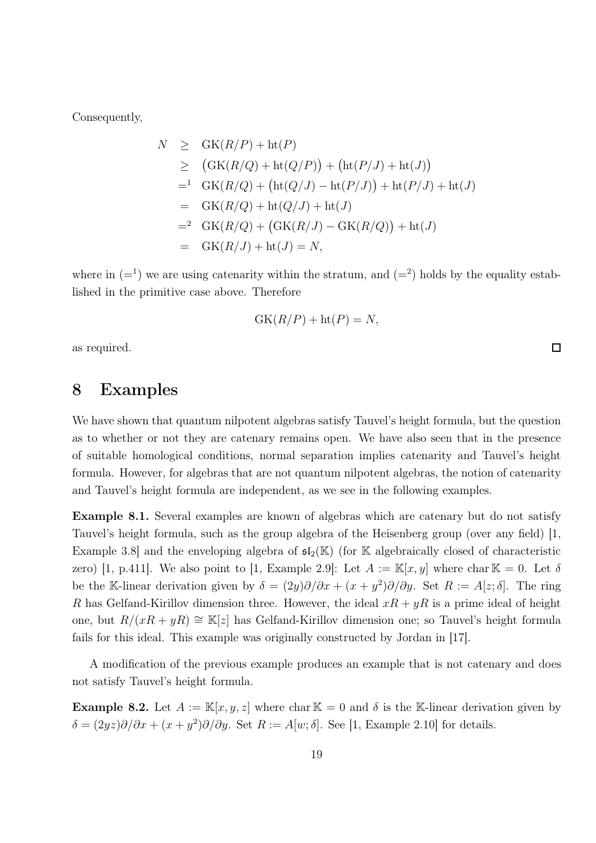Consequently,

$$
N \geq \text{GK}(R/P) + \text{ht}(P)
$$
  
\n
$$
\geq (\text{GK}(R/Q) + \text{ht}(Q/P)) + (\text{ht}(P/J) + \text{ht}(J))
$$
  
\n
$$
= {}^1 \text{GK}(R/Q) + (\text{ht}(Q/J) - \text{ht}(P/J)) + \text{ht}(P/J) + \text{ht}(J)
$$
  
\n
$$
= \text{GK}(R/Q) + \text{ht}(Q/J) + \text{ht}(J)
$$
  
\n
$$
= {}^2 \text{GK}(R/Q) + (\text{GK}(R/J) - \text{GK}(R/Q)) + \text{ht}(J)
$$
  
\n
$$
= \text{GK}(R/J) + \text{ht}(J) = N,
$$

where in  $(=^1)$  we are using catenarity within the stratum, and  $(=^2)$  holds by the equality established in the primitive case above. Therefore

$$
GK(R/P) + ht(P) = N,
$$

as required.

## 8 Examples

We have shown that quantum nilpotent algebras satisfy Tauvel's height formula, but the question as to whether or not they are catenary remains open. We have also seen that in the presence of suitable homological conditions, normal separation implies catenarity and Tauvel's height formula. However, for algebras that are not quantum nilpotent algebras, the notion of catenarity and Tauvel's height formula are independent, as we see in the following examples.

Example 8.1. Several examples are known of algebras which are catenary but do not satisfy Tauvel's height formula, such as the group algebra of the Heisenberg group (over any field) [1, Example 3.8] and the enveloping algebra of  $\mathfrak{sl}_2(\mathbb{K})$  (for K algebraically closed of characteristic zero) [1, p.411]. We also point to [1, Example 2.9]: Let  $A := \mathbb{K}[x, y]$  where char  $\mathbb{K} = 0$ . Let  $\delta$ be the K-linear derivation given by  $\delta = (2y)\partial/\partial x + (x + y^2)\partial/\partial y$ . Set  $R := A[z; \delta]$ . The ring R has Gelfand-Kirillov dimension three. However, the ideal  $xR + yR$  is a prime ideal of height one, but  $R/(xR + yR)$  ≅ K[z] has Gelfand-Kirillov dimension one; so Tauvel's height formula fails for this ideal. This example was originally constructed by Jordan in [17].

A modification of the previous example produces an example that is not catenary and does not satisfy Tauvel's height formula.

**Example 8.2.** Let  $A := \mathbb{K}[x, y, z]$  where char  $\mathbb{K} = 0$  and  $\delta$  is the K-linear derivation given by  $\delta = (2yz)\partial/\partial x + (x+y^2)\partial/\partial y$ . Set  $R := A[w; \delta]$ . See [1, Example 2.10] for details.

口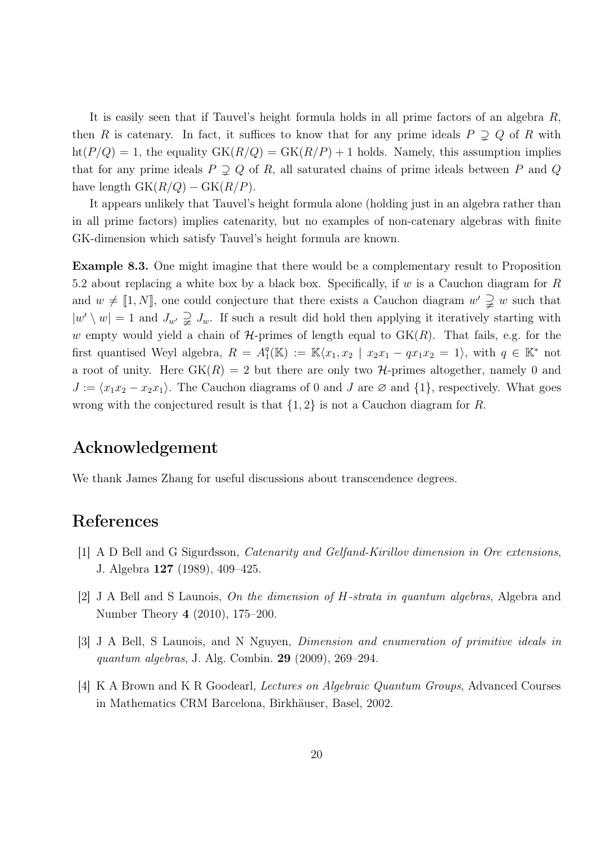It is easily seen that if Tauvel's height formula holds in all prime factors of an algebra R, then R is catenary. In fact, it suffices to know that for any prime ideals  $P \supsetneq Q$  of R with  $ht(P/Q) = 1$ , the equality  $GK(R/Q) = GK(R/P) + 1$  holds. Namely, this assumption implies that for any prime ideals  $P \supseteq Q$  of R, all saturated chains of prime ideals between P and Q have length  $GK(R/Q) - GK(R/P)$ .

It appears unlikely that Tauvel's height formula alone (holding just in an algebra rather than in all prime factors) implies catenarity, but no examples of non-catenary algebras with finite GK-dimension which satisfy Tauvel's height formula are known.

Example 8.3. One might imagine that there would be a complementary result to Proposition 5.2 about replacing a white box by a black box. Specifically, if  $w$  is a Cauchon diagram for  $R$ and  $w \neq [1, N]$ , one could conjecture that there exists a Cauchon diagram  $w' \supsetneq w$  such that  $|w'\setminus w|=1$  and  $J_{w'}\supsetneq J_w$ . If such a result did hold then applying it iteratively starting with w empty would yield a chain of  $H$ -primes of length equal to  $GK(R)$ . That fails, e.g. for the first quantised Weyl algebra,  $R = A_1^q$  $_1^q(\mathbb{K}) := \mathbb{K}\langle x_1, x_2 | x_2x_1 - qx_1x_2 = 1 \rangle$ , with  $q \in \mathbb{K}^*$  not a root of unity. Here  $GK(R) = 2$  but there are only two H-primes altogether, namely 0 and  $J := \langle x_1x_2 - x_2x_1 \rangle$ . The Cauchon diagrams of 0 and J are ∅ and  $\{1\}$ , respectively. What goes wrong with the conjectured result is that  $\{1, 2\}$  is not a Cauchon diagram for R.

## Acknowledgement

We thank James Zhang for useful discussions about transcendence degrees.

## References

- [1] A D Bell and G Sigurđsson, Catenarity and Gelfand-Kirillov dimension in Ore extensions, J. Algebra 127 (1989), 409–425.
- [2] J A Bell and S Launois, On the dimension of H-strata in quantum algebras, Algebra and Number Theory 4 (2010), 175–200.
- [3] J A Bell, S Launois, and N Nguyen, Dimension and enumeration of primitive ideals in quantum algebras, J. Alg. Combin. 29 (2009), 269–294.
- [4] K A Brown and K R Goodearl, Lectures on Algebraic Quantum Groups, Advanced Courses in Mathematics CRM Barcelona, Birkhäuser, Basel, 2002.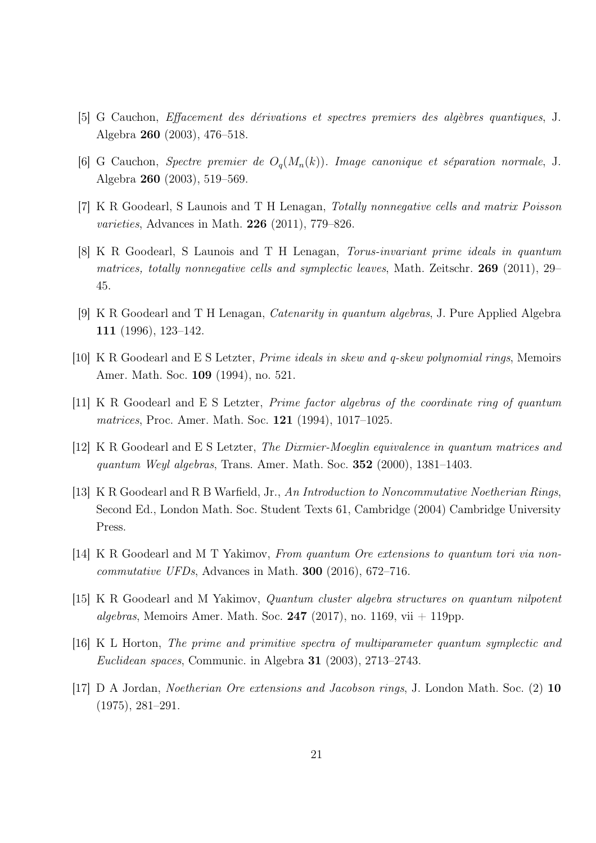- [5] G Cauchon, Effacement des dérivations et spectres premiers des algèbres quantiques, J. Algebra 260 (2003), 476–518.
- [6] G Cauchon, Spectre premier de  $O_q(M_n(k))$ . Image canonique et séparation normale, J. Algebra 260 (2003), 519–569.
- [7] K R Goodearl, S Launois and T H Lenagan, Totally nonnegative cells and matrix Poisson varieties, Advances in Math. 226 (2011), 779–826.
- [8] K R Goodearl, S Launois and T H Lenagan, Torus-invariant prime ideals in quantum matrices, totally nonnegative cells and symplectic leaves, Math. Zeitschr.  $269$  (2011), 29– 45.
- [9] K R Goodearl and T H Lenagan, Catenarity in quantum algebras, J. Pure Applied Algebra 111 (1996), 123–142.
- [10] K R Goodearl and E S Letzter, Prime ideals in skew and q-skew polynomial rings, Memoirs Amer. Math. Soc. 109 (1994), no. 521.
- [11] K R Goodearl and E S Letzter, Prime factor algebras of the coordinate ring of quantum matrices, Proc. Amer. Math. Soc. 121 (1994), 1017–1025.
- [12] K R Goodearl and E S Letzter, The Dixmier-Moeglin equivalence in quantum matrices and quantum Weyl algebras, Trans. Amer. Math. Soc. 352 (2000), 1381–1403.
- [13] K R Goodearl and R B Warfield, Jr., An Introduction to Noncommutative Noetherian Rings, Second Ed., London Math. Soc. Student Texts 61, Cambridge (2004) Cambridge University Press.
- [14] K R Goodearl and M T Yakimov, From quantum Ore extensions to quantum tori via noncommutative UFDs, Advances in Math. 300 (2016), 672–716.
- [15] K R Goodearl and M Yakimov, Quantum cluster algebra structures on quantum nilpotent algebras, Memoirs Amer. Math. Soc. 247 (2017), no. 1169, vii  $+$  119pp.
- [16] K L Horton, The prime and primitive spectra of multiparameter quantum symplectic and Euclidean spaces, Communic. in Algebra 31 (2003), 2713–2743.
- [17] D A Jordan, Noetherian Ore extensions and Jacobson rings, J. London Math. Soc. (2) 10 (1975), 281–291.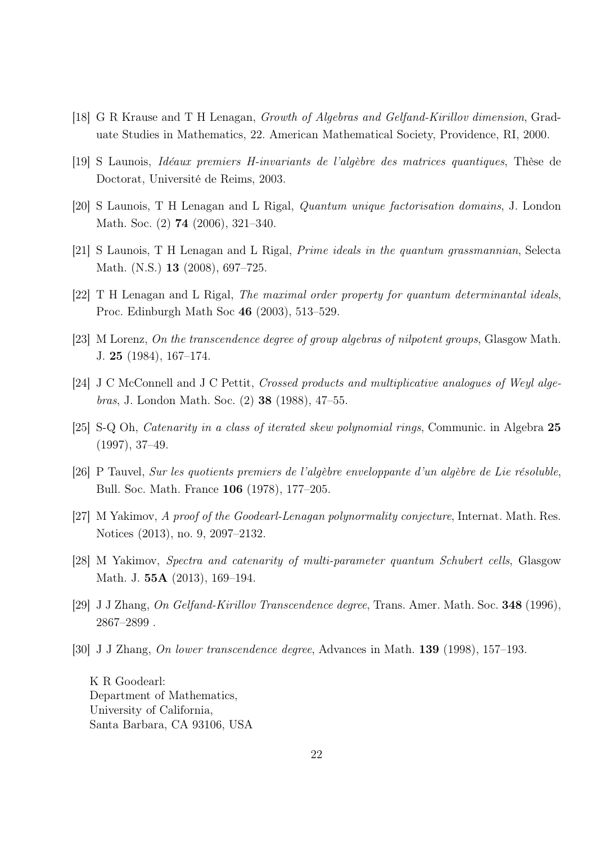- [18] G R Krause and T H Lenagan, Growth of Algebras and Gelfand-Kirillov dimension, Graduate Studies in Mathematics, 22. American Mathematical Society, Providence, RI, 2000.
- [19] S Launois, Idéaux premiers H-invariants de l'algèbre des matrices quantiques, Thèse de Doctorat, Université de Reims, 2003.
- [20] S Launois, T H Lenagan and L Rigal, Quantum unique factorisation domains, J. London Math. Soc. (2) 74 (2006), 321–340.
- [21] S Launois, T H Lenagan and L Rigal, Prime ideals in the quantum grassmannian, Selecta Math. (N.S.) 13 (2008), 697–725.
- [22] T H Lenagan and L Rigal, The maximal order property for quantum determinantal ideals, Proc. Edinburgh Math Soc 46 (2003), 513–529.
- [23] M Lorenz, On the transcendence degree of group algebras of nilpotent groups, Glasgow Math. J. 25 (1984), 167–174.
- [24] J C McConnell and J C Pettit, Crossed products and multiplicative analogues of Weyl algebras, J. London Math. Soc. (2) 38 (1988), 47–55.
- [25] S-Q Oh, Catenarity in a class of iterated skew polynomial rings, Communic. in Algebra 25 (1997), 37–49.
- [26] P Tauvel, Sur les quotients premiers de l'algèbre enveloppante d'un algèbre de Lie résoluble, Bull. Soc. Math. France 106 (1978), 177–205.
- [27] M Yakimov, A proof of the Goodearl-Lenagan polynormality conjecture, Internat. Math. Res. Notices (2013), no. 9, 2097–2132.
- [28] M Yakimov, Spectra and catenarity of multi-parameter quantum Schubert cells, Glasgow Math. J. 55A (2013), 169–194.
- [29] J J Zhang, On Gelfand-Kirillov Transcendence degree, Trans. Amer. Math. Soc. 348 (1996), 2867–2899 .
- [30] J J Zhang, On lower transcendence degree, Advances in Math. 139 (1998), 157–193.

K R Goodearl: Department of Mathematics, University of California, Santa Barbara, CA 93106, USA